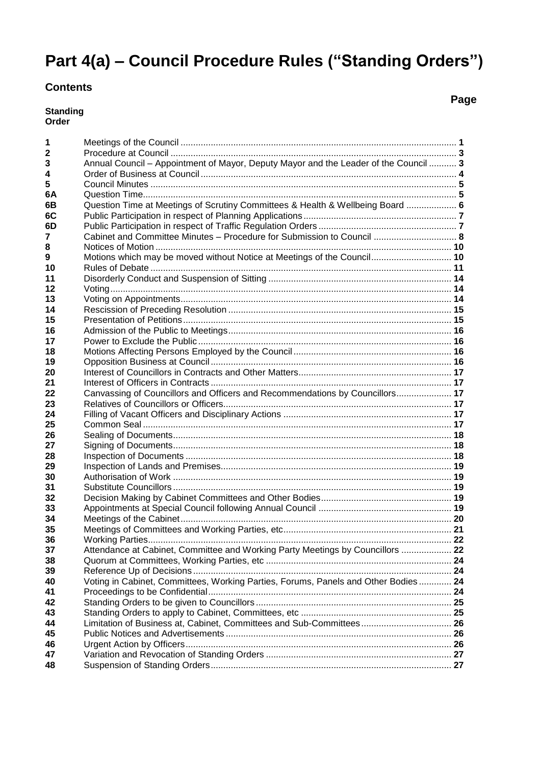# **Part 4(a) – Council Procedure Rules ("Standing Orders")**

### **Contents**

**Standing Order**

 Meetings of the Council .............................................................................................................. **1** Procedure at Council .................................................................................................................. **3** Annual Council – Appointment of Mayor, Deputy Mayor and the Leader of the Council ........... **3** Order of Business at Council ...................................................................................................... **4** Council Minutes .......................................................................................................................... **5 6A** Question Time............................................................................................................................. **5 6B** Question Time at Meetings of Scrutiny Committees & Health & Wellbeing Board .................... **6 6C** Public Participation in respect of Planning Applications ............................................................. **7 6D** Public Participation in respect of Traffic Regulation Orders ....................................................... **7** Cabinet and Committee Minutes – Procedure for Submission to Council ................................. **8** Notices of Motion ...................................................................................................................... **10** Motions which may be moved without Notice at Meetings of the Council................................ **10** Rules of Debate ........................................................................................................................ **11** Disorderly Conduct and Suspension of Sitting ......................................................................... **14** Voting........................................................................................................................................ **14** Voting on Appointments............................................................................................................ **14** Rescission of Preceding Resolution ......................................................................................... **15** Presentation of Petitions........................................................................................................... **15** Admission of the Public to Meetings......................................................................................... **16** Power to Exclude the Public ..................................................................................................... **16** Motions Affecting Persons Employed by the Council ............................................................... **16** Opposition Business at Council ................................................................................................ **16** Interest of Councillors in Contracts and Other Matters............................................................. **17** Interest of Officers in Contracts ................................................................................................ **17** Canvassing of Councillors and Officers and Recommendations by Councillors...................... **17** Relatives of Councillors or Officers........................................................................................... **17** Filling of Vacant Officers and Disciplinary Actions ................................................................... **17** Common Seal ........................................................................................................................... **17** Sealing of Documents............................................................................................................... **18** Signing of Documents............................................................................................................... **18** Inspection of Documents .......................................................................................................... **18** Inspection of Lands and Premises............................................................................................ **19** Authorisation of Work ............................................................................................................... **19**

 Substitute Councillors ............................................................................................................... **19** Decision Making by Cabinet Committees and Other Bodies.................................................... **19** Appointments at Special Council following Annual Council ..................................................... **19** Meetings of the Cabinet............................................................................................................ **20** Meetings of Committees and Working Parties, etc................................................................... **21** Working Parties......................................................................................................................... **22** Attendance at Cabinet, Committee and Working Party Meetings by Councillors .................... **22** Quorum at Committees, Working Parties, etc .......................................................................... **24** Reference Up of Decisions ....................................................................................................... **24** Voting in Cabinet, Committees, Working Parties, Forums, Panels and Other Bodies ............. **24** Proceedings to be Confidential................................................................................................. **24** Standing Orders to be given to Councillors .............................................................................. **25** Standing Orders to apply to Cabinet, Committees, etc ............................................................ **25** Limitation of Business at, Cabinet, Committees and Sub-Committees.................................... **26** Public Notices and Advertisements .......................................................................................... **26**

Urgent Action by Officers.......................................................................................................... **26**

 Variation and Revocation of Standing Orders .......................................................................... **27** Suspension of Standing Orders................................................................................................ **27**

**Page**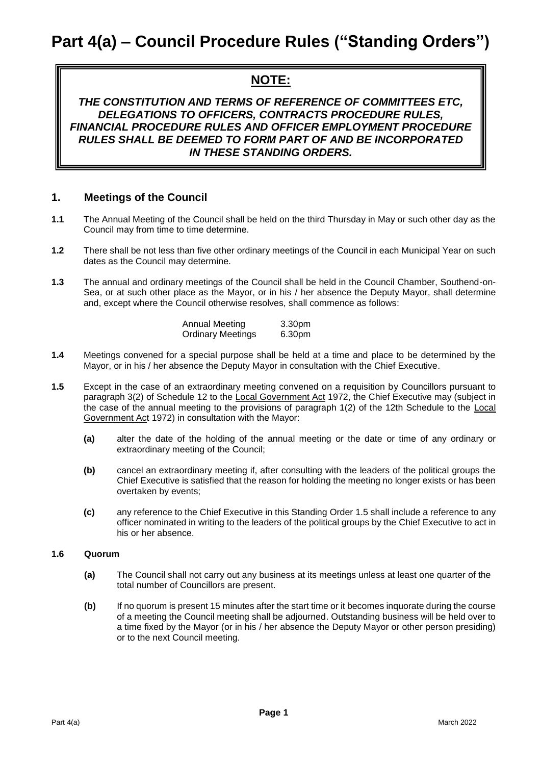## **NOTE:**

*THE CONSTITUTION AND TERMS OF REFERENCE OF COMMITTEES ETC, DELEGATIONS TO OFFICERS, CONTRACTS PROCEDURE RULES, FINANCIAL PROCEDURE RULES AND OFFICER EMPLOYMENT PROCEDURE RULES SHALL BE DEEMED TO FORM PART OF AND BE INCORPORATED IN THESE STANDING ORDERS.*

### **1. Meetings of the Council**

- **1.1** The Annual Meeting of the Council shall be held on the third Thursday in May or such other day as the Council may from time to time determine.
- **1.2** There shall be not less than five other ordinary meetings of the Council in each Municipal Year on such dates as the Council may determine.
- **1.3** The annual and ordinary meetings of the Council shall be held in the Council Chamber, Southend-on-Sea, or at such other place as the Mayor, or in his / her absence the Deputy Mayor, shall determine and, except where the Council otherwise resolves, shall commence as follows:

| Annual Meeting           | 3.30pm |
|--------------------------|--------|
| <b>Ordinary Meetings</b> | 6.30pm |

- **1.4** Meetings convened for a special purpose shall be held at a time and place to be determined by the Mayor, or in his / her absence the Deputy Mayor in consultation with the Chief Executive.
- **1.5** Except in the case of an extraordinary meeting convened on a requisition by Councillors pursuant to paragraph 3(2) of Schedule 12 to the Local Government Act 1972, the Chief Executive may (subject in the case of the annual meeting to the provisions of paragraph 1(2) of the 12th Schedule to the Local Government Act 1972) in consultation with the Mayor:
	- **(a)** alter the date of the holding of the annual meeting or the date or time of any ordinary or extraordinary meeting of the Council;
	- **(b)** cancel an extraordinary meeting if, after consulting with the leaders of the political groups the Chief Executive is satisfied that the reason for holding the meeting no longer exists or has been overtaken by events;
	- **(c)** any reference to the Chief Executive in this Standing Order 1.5 shall include a reference to any officer nominated in writing to the leaders of the political groups by the Chief Executive to act in his or her absence.

#### **1.6 Quorum**

- **(a)** The Council shall not carry out any business at its meetings unless at least one quarter of the total number of Councillors are present.
- **(b)** If no quorum is present 15 minutes after the start time or it becomes inquorate during the course of a meeting the Council meeting shall be adjourned. Outstanding business will be held over to a time fixed by the Mayor (or in his / her absence the Deputy Mayor or other person presiding) or to the next Council meeting.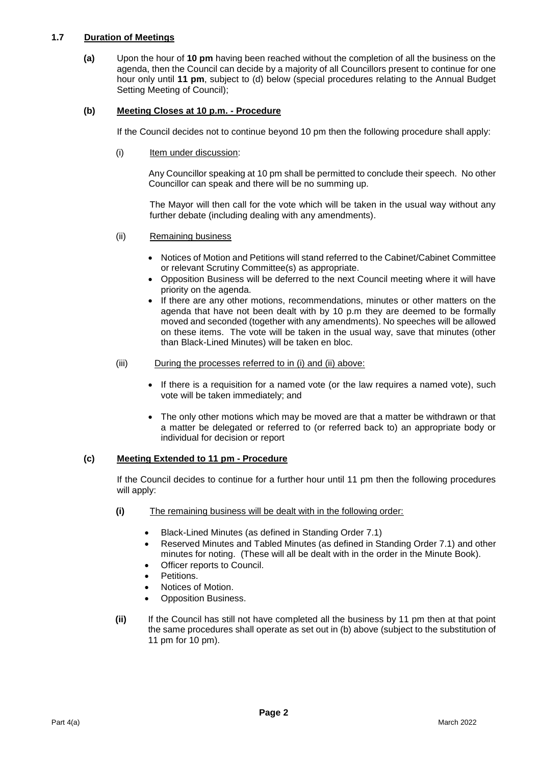#### **1.7 Duration of Meetings**

**(a)** Upon the hour of **10 pm** having been reached without the completion of all the business on the agenda, then the Council can decide by a majority of all Councillors present to continue for one hour only until **11 pm**, subject to (d) below (special procedures relating to the Annual Budget Setting Meeting of Council);

#### **(b) Meeting Closes at 10 p.m. - Procedure**

If the Council decides not to continue beyond 10 pm then the following procedure shall apply:

(i) Item under discussion:

Any Councillor speaking at 10 pm shall be permitted to conclude their speech. No other Councillor can speak and there will be no summing up.

The Mayor will then call for the vote which will be taken in the usual way without any further debate (including dealing with any amendments).

- (ii) Remaining business
	- Notices of Motion and Petitions will stand referred to the Cabinet/Cabinet Committee or relevant Scrutiny Committee(s) as appropriate.
	- Opposition Business will be deferred to the next Council meeting where it will have priority on the agenda.
	- If there are any other motions, recommendations, minutes or other matters on the agenda that have not been dealt with by 10 p.m they are deemed to be formally moved and seconded (together with any amendments). No speeches will be allowed on these items. The vote will be taken in the usual way, save that minutes (other than Black-Lined Minutes) will be taken en bloc.
- (iii) During the processes referred to in (i) and (ii) above:
	- If there is a requisition for a named vote (or the law requires a named vote), such vote will be taken immediately; and
	- The only other motions which may be moved are that a matter be withdrawn or that a matter be delegated or referred to (or referred back to) an appropriate body or individual for decision or report

### **(c) Meeting Extended to 11 pm - Procedure**

If the Council decides to continue for a further hour until 11 pm then the following procedures will apply:

- **(i)** The remaining business will be dealt with in the following order:
	- Black-Lined Minutes (as defined in Standing Order 7.1)
	- Reserved Minutes and Tabled Minutes (as defined in Standing Order 7.1) and other minutes for noting. (These will all be dealt with in the order in the Minute Book).
	- Officer reports to Council.
	- Petitions.
	- Notices of Motion.
	- Opposition Business.
- **(ii)** If the Council has still not have completed all the business by 11 pm then at that point the same procedures shall operate as set out in (b) above (subject to the substitution of 11 pm for 10 pm).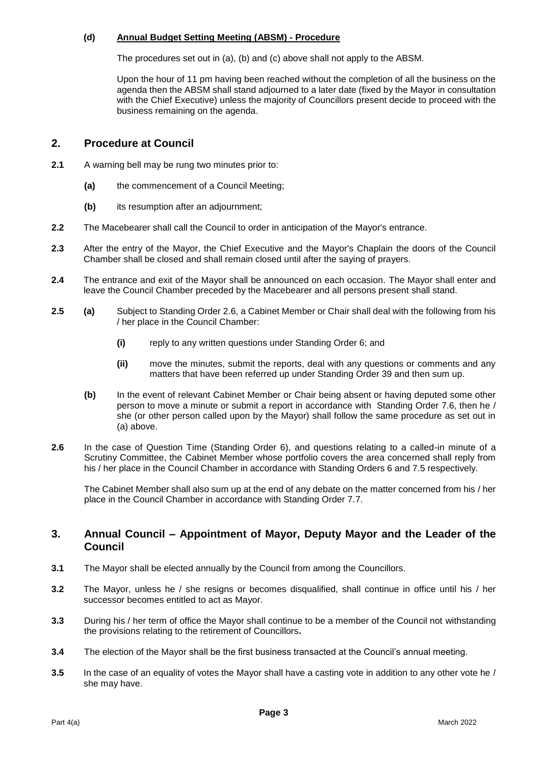#### **(d) Annual Budget Setting Meeting (ABSM) - Procedure**

The procedures set out in (a), (b) and (c) above shall not apply to the ABSM.

Upon the hour of 11 pm having been reached without the completion of all the business on the agenda then the ABSM shall stand adjourned to a later date (fixed by the Mayor in consultation with the Chief Executive) unless the majority of Councillors present decide to proceed with the business remaining on the agenda.

### **2. Procedure at Council**

- **2.1** A warning bell may be rung two minutes prior to:
	- **(a)** the commencement of a Council Meeting;
	- **(b)** its resumption after an adjournment;
- **2.2** The Macebearer shall call the Council to order in anticipation of the Mayor's entrance.
- **2.3** After the entry of the Mayor, the Chief Executive and the Mayor's Chaplain the doors of the Council Chamber shall be closed and shall remain closed until after the saying of prayers.
- **2.4** The entrance and exit of the Mayor shall be announced on each occasion*.* The Mayor shall enter and leave the Council Chamber preceded by the Macebearer and all persons present shall stand.
- **2.5 (a)** Subject to Standing Order 2.6, a Cabinet Member or Chair shall deal with the following from his / her place in the Council Chamber:
	- **(i)** reply to any written questions under Standing Order 6; and
	- **(ii)** move the minutes, submit the reports, deal with any questions or comments and any matters that have been referred up under Standing Order 39 and then sum up.
	- **(b)** In the event of relevant Cabinet Member or Chair being absent or having deputed some other person to move a minute or submit a report in accordance with Standing Order 7.6, then he / she (or other person called upon by the Mayor) shall follow the same procedure as set out in (a) above.
- **2.6** In the case of Question Time (Standing Order 6), and questions relating to a called-in minute of a Scrutiny Committee, the Cabinet Member whose portfolio covers the area concerned shall reply from his / her place in the Council Chamber in accordance with Standing Orders 6 and 7.5 respectively.

The Cabinet Member shall also sum up at the end of any debate on the matter concerned from his / her place in the Council Chamber in accordance with Standing Order 7.7.

### **3. Annual Council – Appointment of Mayor, Deputy Mayor and the Leader of the Council**

- **3.1** The Mayor shall be elected annually by the Council from among the Councillors.
- **3.2** The Mayor, unless he / she resigns or becomes disqualified, shall continue in office until his / her successor becomes entitled to act as Mayor.
- **3.3** During his / her term of office the Mayor shall continue to be a member of the Council not withstanding the provisions relating to the retirement of Councillors**.**
- **3.4** The election of the Mayor shall be the first business transacted at the Council's annual meeting.
- **3.5** In the case of an equality of votes the Mayor shall have a casting vote in addition to any other vote he / she may have.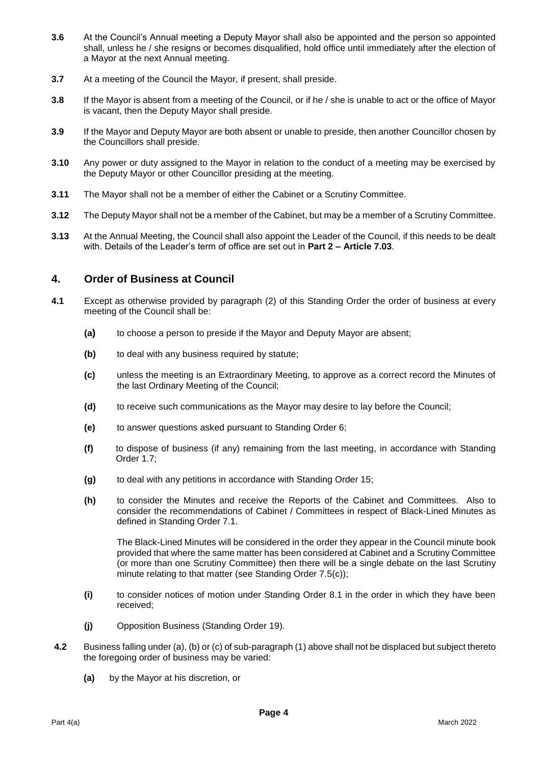- **3.6** At the Council's Annual meeting a Deputy Mayor shall also be appointed and the person so appointed shall, unless he / she resigns or becomes disqualified, hold office until immediately after the election of a Mayor at the next Annual meeting.
- **3.7** At a meeting of the Council the Mayor, if present, shall preside.
- **3.8** If the Mayor is absent from a meeting of the Council, or if he / she is unable to act or the office of Mayor is vacant, then the Deputy Mayor shall preside.
- **3.9** If the Mayor and Deputy Mayor are both absent or unable to preside, then another Councillor chosen by the Councillors shall preside.
- **3.10** Any power or duty assigned to the Mayor in relation to the conduct of a meeting may be exercised by the Deputy Mayor or other Councillor presiding at the meeting.
- **3.11** The Mayor shall not be a member of either the Cabinet or a Scrutiny Committee.
- **3.12** The Deputy Mayor shall not be a member of the Cabinet, but may be a member of a Scrutiny Committee.
- **3.13** At the Annual Meeting, the Council shall also appoint the Leader of the Council, if this needs to be dealt with. Details of the Leader's term of office are set out in **Part 2 – Article 7.03**.

### **4. Order of Business at Council**

- **4.1** Except as otherwise provided by paragraph (2) of this Standing Order the order of business at every meeting of the Council shall be:
	- **(a)** to choose a person to preside if the Mayor and Deputy Mayor are absent;
	- **(b)** to deal with any business required by statute;
	- **(c)** unless the meeting is an Extraordinary Meeting, to approve as a correct record the Minutes of the last Ordinary Meeting of the Council;
	- **(d)** to receive such communications as the Mayor may desire to lay before the Council;
	- **(e)** to answer questions asked pursuant to Standing Order 6;
	- **(f)** to dispose of business (if any) remaining from the last meeting, in accordance with Standing Order 1.7;
	- **(g)** to deal with any petitions in accordance with Standing Order 15;
	- **(h)** to consider the Minutes and receive the Reports of the Cabinet and Committees. Also to consider the recommendations of Cabinet / Committees in respect of Black-Lined Minutes as defined in Standing Order 7.1.

The Black-Lined Minutes will be considered in the order they appear in the Council minute book provided that where the same matter has been considered at Cabinet and a Scrutiny Committee (or more than one Scrutiny Committee) then there will be a single debate on the last Scrutiny minute relating to that matter (see Standing Order 7.5(c));

- **(i)** to consider notices of motion under Standing Order 8.1 in the order in which they have been received;
- **(j)** Opposition Business (Standing Order 19).
- **4.2** Business falling under (a), (b) or (c) of sub-paragraph (1) above shall not be displaced but subject thereto the foregoing order of business may be varied:
	- **(a)** by the Mayor at his discretion, or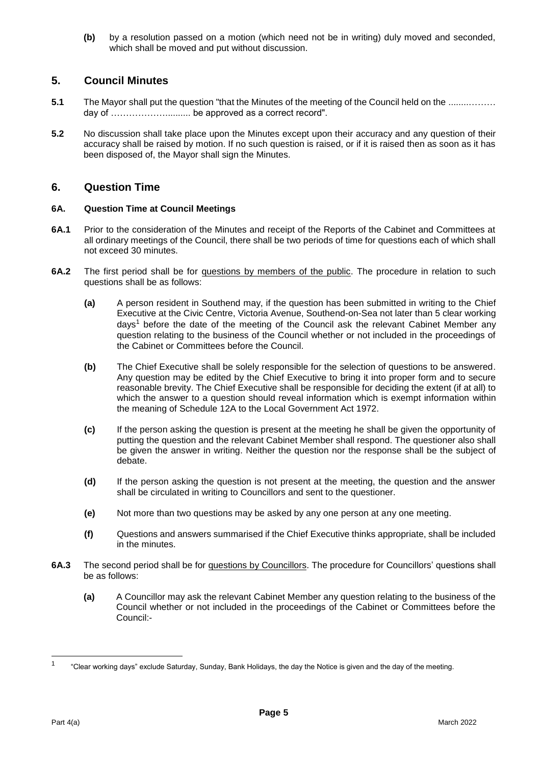**(b)** by a resolution passed on a motion (which need not be in writing) duly moved and seconded, which shall be moved and put without discussion.

### **5. Council Minutes**

- **5.1** The Mayor shall put the question "that the Minutes of the meeting of the Council held on the ............. day of ……………….......... be approved as a correct record".
- **5.2** No discussion shall take place upon the Minutes except upon their accuracy and any question of their accuracy shall be raised by motion. If no such question is raised, or if it is raised then as soon as it has been disposed of, the Mayor shall sign the Minutes.

### **6. Question Time**

#### **6A. Question Time at Council Meetings**

- **6A.1** Prior to the consideration of the Minutes and receipt of the Reports of the Cabinet and Committees at all ordinary meetings of the Council, there shall be two periods of time for questions each of which shall not exceed 30 minutes.
- **6A.2** The first period shall be for questions by members of the public. The procedure in relation to such questions shall be as follows:
	- **(a)** A person resident in Southend may, if the question has been submitted in writing to the Chief Executive at the Civic Centre, Victoria Avenue, Southend-on-Sea not later than 5 clear working days<sup>1</sup> before the date of the meeting of the Council ask the relevant Cabinet Member any question relating to the business of the Council whether or not included in the proceedings of the Cabinet or Committees before the Council.
	- **(b)** The Chief Executive shall be solely responsible for the selection of questions to be answered. Any question may be edited by the Chief Executive to bring it into proper form and to secure reasonable brevity. The Chief Executive shall be responsible for deciding the extent (if at all) to which the answer to a question should reveal information which is exempt information within the meaning of Schedule 12A to the Local Government Act 1972.
	- **(c)** If the person asking the question is present at the meeting he shall be given the opportunity of putting the question and the relevant Cabinet Member shall respond. The questioner also shall be given the answer in writing. Neither the question nor the response shall be the subject of debate.
	- **(d)** If the person asking the question is not present at the meeting, the question and the answer shall be circulated in writing to Councillors and sent to the questioner.
	- **(e)** Not more than two questions may be asked by any one person at any one meeting.
	- **(f)** Questions and answers summarised if the Chief Executive thinks appropriate, shall be included in the minutes.
- **6A.3** The second period shall be for questions by Councillors. The procedure for Councillors' questions shall be as follows:
	- **(a)** A Councillor may ask the relevant Cabinet Member any question relating to the business of the Council whether or not included in the proceedings of the Cabinet or Committees before the Council:-

 $\frac{1}{1}$ "Clear working days" exclude Saturday, Sunday, Bank Holidays, the day the Notice is given and the day of the meeting.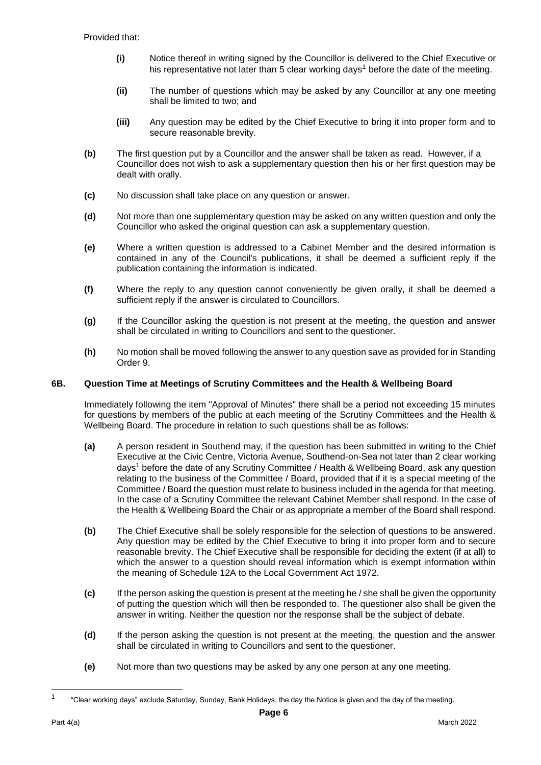- **(i)** Notice thereof in writing signed by the Councillor is delivered to the Chief Executive or his representative not later than 5 clear working days<sup>1</sup> before the date of the meeting.
- **(ii)** The number of questions which may be asked by any Councillor at any one meeting shall be limited to two; and
- **(iii)** Any question may be edited by the Chief Executive to bring it into proper form and to secure reasonable brevity.
- **(b)** The first question put by a Councillor and the answer shall be taken as read. However, if a Councillor does not wish to ask a supplementary question then his or her first question may be dealt with orally.
- **(c)** No discussion shall take place on any question or answer.
- **(d)** Not more than one supplementary question may be asked on any written question and only the Councillor who asked the original question can ask a supplementary question.
- **(e)** Where a written question is addressed to a Cabinet Member and the desired information is contained in any of the Council's publications, it shall be deemed a sufficient reply if the publication containing the information is indicated.
- **(f)** Where the reply to any question cannot conveniently be given orally, it shall be deemed a sufficient reply if the answer is circulated to Councillors.
- **(g)** If the Councillor asking the question is not present at the meeting, the question and answer shall be circulated in writing to Councillors and sent to the questioner.
- **(h)** No motion shall be moved following the answer to any question save as provided for in Standing Order 9.

#### **6B. Question Time at Meetings of Scrutiny Committees and the Health & Wellbeing Board**

Immediately following the item "Approval of Minutes" there shall be a period not exceeding 15 minutes for questions by members of the public at each meeting of the Scrutiny Committees and the Health & Wellbeing Board. The procedure in relation to such questions shall be as follows:

- **(a)** A person resident in Southend may, if the question has been submitted in writing to the Chief Executive at the Civic Centre, Victoria Avenue, Southend-on-Sea not later than 2 clear working days<sup>1</sup> before the date of any Scrutiny Committee / Health & Wellbeing Board, ask any question relating to the business of the Committee / Board, provided that if it is a special meeting of the Committee / Board the question must relate to business included in the agenda for that meeting. In the case of a Scrutiny Committee the relevant Cabinet Member shall respond. In the case of the Health & Wellbeing Board the Chair or as appropriate a member of the Board shall respond.
- **(b)** The Chief Executive shall be solely responsible for the selection of questions to be answered. Any question may be edited by the Chief Executive to bring it into proper form and to secure reasonable brevity. The Chief Executive shall be responsible for deciding the extent (if at all) to which the answer to a question should reveal information which is exempt information within the meaning of Schedule 12A to the Local Government Act 1972.
- **(c)** If the person asking the question is present at the meeting he / she shall be given the opportunity of putting the question which will then be responded to. The questioner also shall be given the answer in writing. Neither the question nor the response shall be the subject of debate.
- **(d)** If the person asking the question is not present at the meeting, the question and the answer shall be circulated in writing to Councillors and sent to the questioner.
- **(e)** Not more than two questions may be asked by any one person at any one meeting.

-

<sup>1</sup> "Clear working days" exclude Saturday, Sunday, Bank Holidays, the day the Notice is given and the day of the meeting.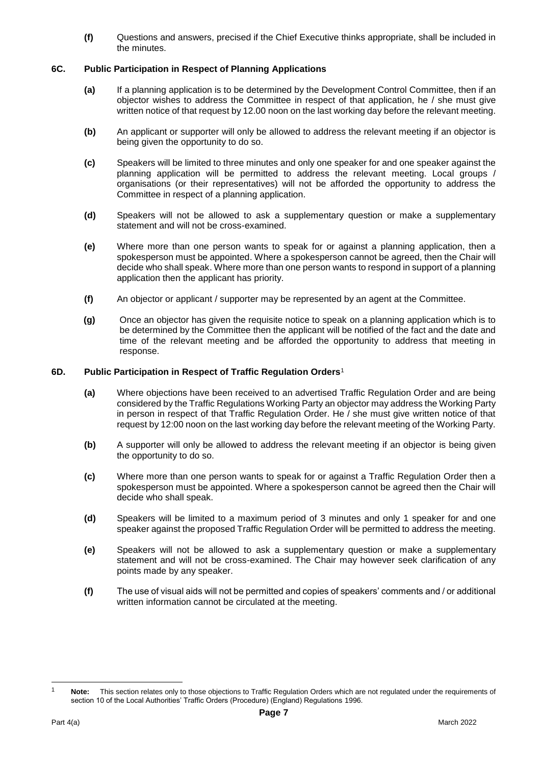**(f)** Questions and answers, precised if the Chief Executive thinks appropriate, shall be included in the minutes.

#### **6C. Public Participation in Respect of Planning Applications**

- **(a)** If a planning application is to be determined by the Development Control Committee, then if an objector wishes to address the Committee in respect of that application, he / she must give written notice of that request by 12.00 noon on the last working day before the relevant meeting.
- **(b)** An applicant or supporter will only be allowed to address the relevant meeting if an objector is being given the opportunity to do so.
- **(c)** Speakers will be limited to three minutes and only one speaker for and one speaker against the planning application will be permitted to address the relevant meeting. Local groups / organisations (or their representatives) will not be afforded the opportunity to address the Committee in respect of a planning application.
- **(d)** Speakers will not be allowed to ask a supplementary question or make a supplementary statement and will not be cross-examined.
- **(e)** Where more than one person wants to speak for or against a planning application, then a spokesperson must be appointed. Where a spokesperson cannot be agreed, then the Chair will decide who shall speak. Where more than one person wants to respond in support of a planning application then the applicant has priority.
- **(f)** An objector or applicant / supporter may be represented by an agent at the Committee.
- **(g)** Once an objector has given the requisite notice to speak on a planning application which is to be determined by the Committee then the applicant will be notified of the fact and the date and time of the relevant meeting and be afforded the opportunity to address that meeting in response.

#### **6D. Public Participation in Respect of Traffic Regulation Orders**<sup>1</sup>

- **(a)** Where objections have been received to an advertised Traffic Regulation Order and are being considered by the Traffic Regulations Working Party an objector may address the Working Party in person in respect of that Traffic Regulation Order. He / she must give written notice of that request by 12:00 noon on the last working day before the relevant meeting of the Working Party.
- **(b)** A supporter will only be allowed to address the relevant meeting if an objector is being given the opportunity to do so.
- **(c)** Where more than one person wants to speak for or against a Traffic Regulation Order then a spokesperson must be appointed. Where a spokesperson cannot be agreed then the Chair will decide who shall speak.
- **(d)** Speakers will be limited to a maximum period of 3 minutes and only 1 speaker for and one speaker against the proposed Traffic Regulation Order will be permitted to address the meeting.
- **(e)** Speakers will not be allowed to ask a supplementary question or make a supplementary statement and will not be cross-examined. The Chair may however seek clarification of any points made by any speaker.
- **(f)** The use of visual aids will not be permitted and copies of speakers' comments and / or additional written information cannot be circulated at the meeting.

-

Note: This section relates only to those objections to Traffic Regulation Orders which are not regulated under the requirements of section 10 of the Local Authorities' Traffic Orders (Procedure) (England) Regulations 1996.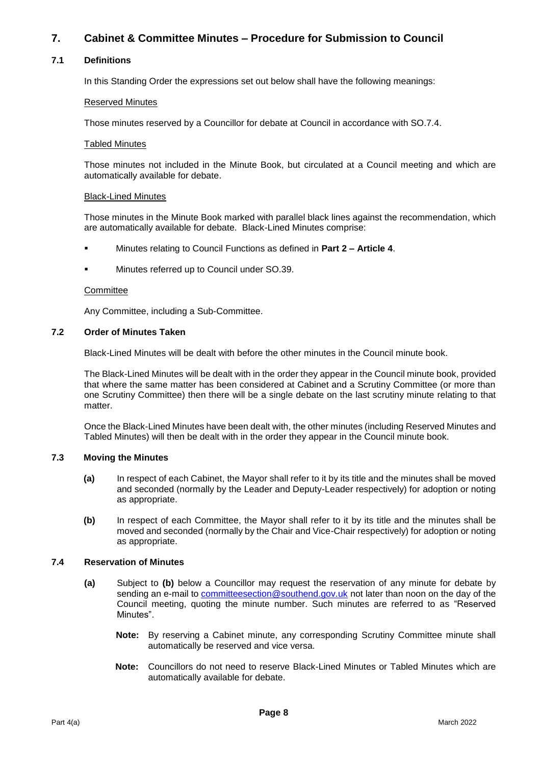### **7. Cabinet & Committee Minutes – Procedure for Submission to Council**

#### **7.1 Definitions**

In this Standing Order the expressions set out below shall have the following meanings:

#### Reserved Minutes

Those minutes reserved by a Councillor for debate at Council in accordance with SO.7.4.

#### Tabled Minutes

Those minutes not included in the Minute Book, but circulated at a Council meeting and which are automatically available for debate.

#### Black-Lined Minutes

Those minutes in the Minute Book marked with parallel black lines against the recommendation, which are automatically available for debate. Black-Lined Minutes comprise:

- Minutes relating to Council Functions as defined in **Part 2 – Article 4**.
- Minutes referred up to Council under SO.39.

#### **Committee**

Any Committee, including a Sub-Committee.

#### **7.2 Order of Minutes Taken**

Black-Lined Minutes will be dealt with before the other minutes in the Council minute book.

The Black-Lined Minutes will be dealt with in the order they appear in the Council minute book, provided that where the same matter has been considered at Cabinet and a Scrutiny Committee (or more than one Scrutiny Committee) then there will be a single debate on the last scrutiny minute relating to that matter.

Once the Black-Lined Minutes have been dealt with, the other minutes (including Reserved Minutes and Tabled Minutes) will then be dealt with in the order they appear in the Council minute book.

#### **7.3 Moving the Minutes**

- **(a)** In respect of each Cabinet, the Mayor shall refer to it by its title and the minutes shall be moved and seconded (normally by the Leader and Deputy-Leader respectively) for adoption or noting as appropriate.
- **(b)** In respect of each Committee, the Mayor shall refer to it by its title and the minutes shall be moved and seconded (normally by the Chair and Vice-Chair respectively) for adoption or noting as appropriate.

#### **7.4 Reservation of Minutes**

- **(a)** Subject to **(b)** below a Councillor may request the reservation of any minute for debate by sending an e-mail to [committeesection@southend.gov.uk](mailto:committeesection@southend.gov.uk) not later than noon on the day of the Council meeting, quoting the minute number. Such minutes are referred to as "Reserved Minutes".
	- **Note:** By reserving a Cabinet minute, any corresponding Scrutiny Committee minute shall automatically be reserved and vice versa.
	- **Note:** Councillors do not need to reserve Black-Lined Minutes or Tabled Minutes which are automatically available for debate.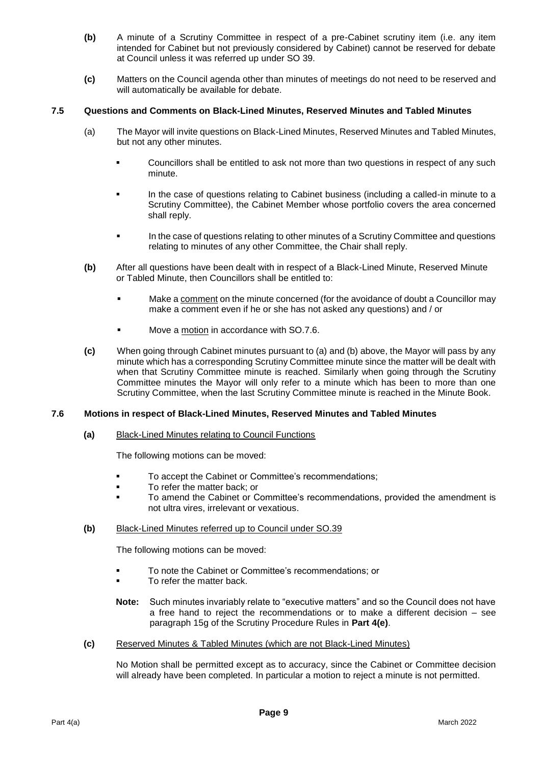- **(b)** A minute of a Scrutiny Committee in respect of a pre-Cabinet scrutiny item (i.e. any item intended for Cabinet but not previously considered by Cabinet) cannot be reserved for debate at Council unless it was referred up under SO 39.
- **(c)** Matters on the Council agenda other than minutes of meetings do not need to be reserved and will automatically be available for debate.

#### **7.5 Questions and Comments on Black-Lined Minutes, Reserved Minutes and Tabled Minutes**

- (a) The Mayor will invite questions on Black-Lined Minutes, Reserved Minutes and Tabled Minutes, but not any other minutes.
	- Councillors shall be entitled to ask not more than two questions in respect of any such minute.
	- In the case of questions relating to Cabinet business (including a called-in minute to a Scrutiny Committee), the Cabinet Member whose portfolio covers the area concerned shall reply.
	- In the case of questions relating to other minutes of a Scrutiny Committee and questions relating to minutes of any other Committee, the Chair shall reply.
- **(b)** After all questions have been dealt with in respect of a Black-Lined Minute, Reserved Minute or Tabled Minute, then Councillors shall be entitled to:
	- Make a comment on the minute concerned (for the avoidance of doubt a Councillor may make a comment even if he or she has not asked any questions) and / or
	- Move a motion in accordance with SO.7.6.
- **(c)** When going through Cabinet minutes pursuant to (a) and (b) above, the Mayor will pass by any minute which has a corresponding Scrutiny Committee minute since the matter will be dealt with when that Scrutiny Committee minute is reached. Similarly when going through the Scrutiny Committee minutes the Mayor will only refer to a minute which has been to more than one Scrutiny Committee, when the last Scrutiny Committee minute is reached in the Minute Book.

#### **7.6 Motions in respect of Black-Lined Minutes, Reserved Minutes and Tabled Minutes**

**(a)** Black-Lined Minutes relating to Council Functions

The following motions can be moved:

- To accept the Cabinet or Committee's recommendations;
- To refer the matter back; or
- To amend the Cabinet or Committee's recommendations, provided the amendment is not ultra vires, irrelevant or vexatious.

#### **(b)** Black-Lined Minutes referred up to Council under SO.39

The following motions can be moved:

- To note the Cabinet or Committee's recommendations; or
- To refer the matter back.
- **Note:** Such minutes invariably relate to "executive matters" and so the Council does not have a free hand to reject the recommendations or to make a different decision – see paragraph 15g of the Scrutiny Procedure Rules in **Part 4(e)**.
- **(c)** Reserved Minutes & Tabled Minutes (which are not Black-Lined Minutes)

No Motion shall be permitted except as to accuracy, since the Cabinet or Committee decision will already have been completed. In particular a motion to reject a minute is not permitted.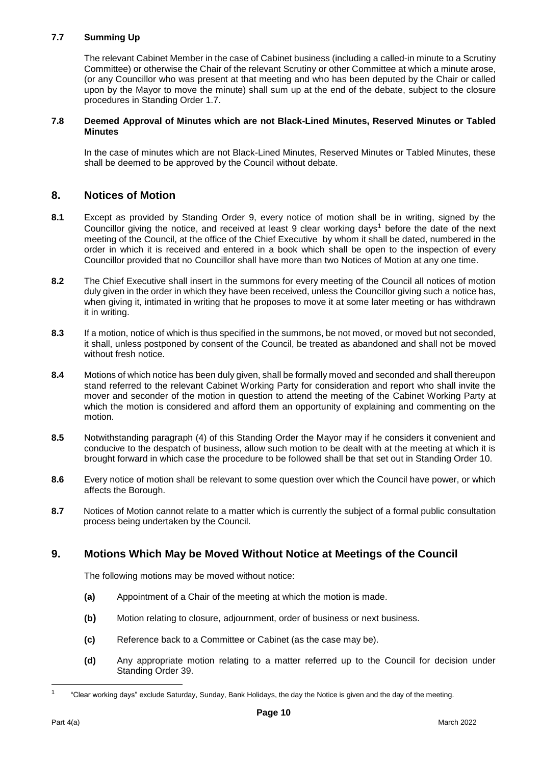#### **7.7 Summing Up**

The relevant Cabinet Member in the case of Cabinet business (including a called-in minute to a Scrutiny Committee) or otherwise the Chair of the relevant Scrutiny or other Committee at which a minute arose, (or any Councillor who was present at that meeting and who has been deputed by the Chair or called upon by the Mayor to move the minute) shall sum up at the end of the debate, subject to the closure procedures in Standing Order 1.7.

#### **7.8 Deemed Approval of Minutes which are not Black-Lined Minutes, Reserved Minutes or Tabled Minutes**

In the case of minutes which are not Black-Lined Minutes, Reserved Minutes or Tabled Minutes, these shall be deemed to be approved by the Council without debate.

### **8. Notices of Motion**

- **8.1** Except as provided by Standing Order 9, every notice of motion shall be in writing, signed by the Councillor giving the notice, and received at least 9 clear working days<sup>1</sup> before the date of the next meeting of the Council, at the office of the Chief Executive by whom it shall be dated, numbered in the order in which it is received and entered in a book which shall be open to the inspection of every Councillor provided that no Councillor shall have more than two Notices of Motion at any one time.
- **8.2** The Chief Executive shall insert in the summons for every meeting of the Council all notices of motion duly given in the order in which they have been received, unless the Councillor giving such a notice has, when giving it, intimated in writing that he proposes to move it at some later meeting or has withdrawn it in writing.
- **8.3** If a motion, notice of which is thus specified in the summons, be not moved, or moved but not seconded, it shall, unless postponed by consent of the Council, be treated as abandoned and shall not be moved without fresh notice.
- **8.4** Motions of which notice has been duly given, shall be formally moved and seconded and shall thereupon stand referred to the relevant Cabinet Working Party for consideration and report who shall invite the mover and seconder of the motion in question to attend the meeting of the Cabinet Working Party at which the motion is considered and afford them an opportunity of explaining and commenting on the motion.
- **8.5** Notwithstanding paragraph (4) of this Standing Order the Mayor may if he considers it convenient and conducive to the despatch of business, allow such motion to be dealt with at the meeting at which it is brought forward in which case the procedure to be followed shall be that set out in Standing Order 10.
- **8.6** Every notice of motion shall be relevant to some question over which the Council have power, or which affects the Borough.
- **8.7** Notices of Motion cannot relate to a matter which is currently the subject of a formal public consultation process being undertaken by the Council.

### **9. Motions Which May be Moved Without Notice at Meetings of the Council**

The following motions may be moved without notice:

- **(a)** Appointment of a Chair of the meeting at which the motion is made.
- **(b)** Motion relating to closure, adjournment, order of business or next business.
- **(c)** Reference back to a Committee or Cabinet (as the case may be).
- **(d)** Any appropriate motion relating to a matter referred up to the Council for decision under Standing Order 39.

-

<sup>1</sup> "Clear working days" exclude Saturday, Sunday, Bank Holidays, the day the Notice is given and the day of the meeting.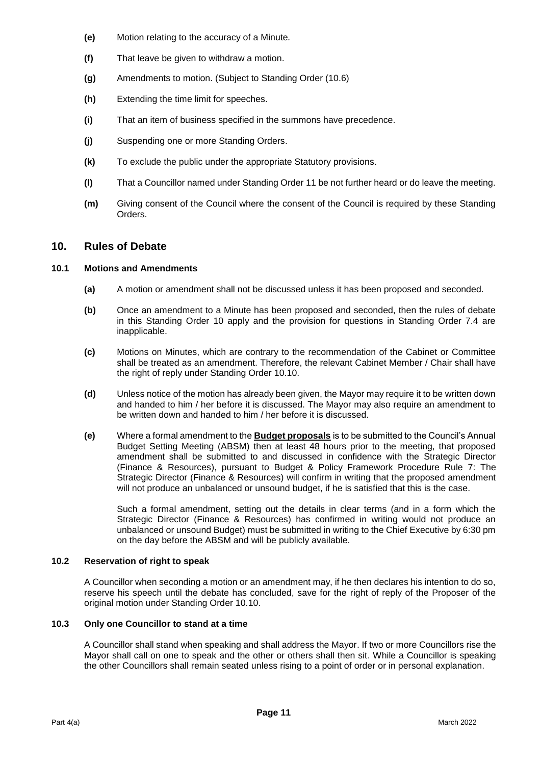- **(e)** Motion relating to the accuracy of a Minute*.*
- **(f)** That leave be given to withdraw a motion.
- **(g)** Amendments to motion. (Subject to Standing Order (10.6)
- **(h)** Extending the time limit for speeches.
- **(i)** That an item of business specified in the summons have precedence.
- **(j)** Suspending one or more Standing Orders.
- **(k)** To exclude the public under the appropriate Statutory provisions.
- **(l)** That a Councillor named under Standing Order 11 be not further heard or do leave the meeting.
- **(m)** Giving consent of the Council where the consent of the Council is required by these Standing Orders.

### **10. Rules of Debate**

#### **10.1 Motions and Amendments**

- **(a)** A motion or amendment shall not be discussed unless it has been proposed and seconded.
- **(b)** Once an amendment to a Minute has been proposed and seconded, then the rules of debate in this Standing Order 10 apply and the provision for questions in Standing Order 7.4 are inapplicable.
- **(c)** Motions on Minutes, which are contrary to the recommendation of the Cabinet or Committee shall be treated as an amendment. Therefore, the relevant Cabinet Member / Chair shall have the right of reply under Standing Order 10.10.
- **(d)** Unless notice of the motion has already been given, the Mayor may require it to be written down and handed to him / her before it is discussed. The Mayor may also require an amendment to be written down and handed to him / her before it is discussed.
- **(e)** Where a formal amendment to the **Budget proposals** is to be submitted to the Council's Annual Budget Setting Meeting (ABSM) then at least 48 hours prior to the meeting, that proposed amendment shall be submitted to and discussed in confidence with the Strategic Director (Finance & Resources), pursuant to Budget & Policy Framework Procedure Rule 7: The Strategic Director (Finance & Resources) will confirm in writing that the proposed amendment will not produce an unbalanced or unsound budget, if he is satisfied that this is the case.

Such a formal amendment, setting out the details in clear terms (and in a form which the Strategic Director (Finance & Resources) has confirmed in writing would not produce an unbalanced or unsound Budget) must be submitted in writing to the Chief Executive by 6:30 pm on the day before the ABSM and will be publicly available.

#### **10.2 Reservation of right to speak**

A Councillor when seconding a motion or an amendment may, if he then declares his intention to do so, reserve his speech until the debate has concluded, save for the right of reply of the Proposer of the original motion under Standing Order 10.10.

#### **10.3 Only one Councillor to stand at a time**

A Councillor shall stand when speaking and shall address the Mayor. If two or more Councillors rise the Mayor shall call on one to speak and the other or others shall then sit. While a Councillor is speaking the other Councillors shall remain seated unless rising to a point of order or in personal explanation.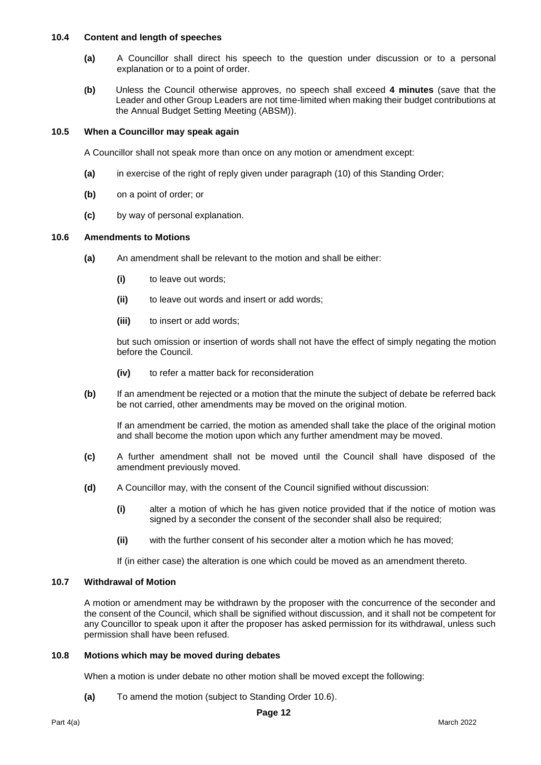#### **10.4 Content and length of speeches**

- **(a)** A Councillor shall direct his speech to the question under discussion or to a personal explanation or to a point of order.
- **(b)** Unless the Council otherwise approves, no speech shall exceed **4 minutes** (save that the Leader and other Group Leaders are not time-limited when making their budget contributions at the Annual Budget Setting Meeting (ABSM)).

#### **10.5 When a Councillor may speak again**

A Councillor shall not speak more than once on any motion or amendment except:

- **(a)** in exercise of the right of reply given under paragraph (10) of this Standing Order;
- **(b)** on a point of order; or
- **(c)** by way of personal explanation.

#### **10.6 Amendments to Motions**

- **(a)** An amendment shall be relevant to the motion and shall be either:
	- **(i)** to leave out words;
	- **(ii)** to leave out words and insert or add words;
	- **(iii)** to insert or add words;

but such omission or insertion of words shall not have the effect of simply negating the motion before the Council.

- **(iv)** to refer a matter back for reconsideration
- **(b)** If an amendment be rejected or a motion that the minute the subject of debate be referred back be not carried, other amendments may be moved on the original motion.

If an amendment be carried, the motion as amended shall take the place of the original motion and shall become the motion upon which any further amendment may be moved.

- **(c)** A further amendment shall not be moved until the Council shall have disposed of the amendment previously moved.
- **(d)** A Councillor may, with the consent of the Council signified without discussion:
	- **(i)** alter a motion of which he has given notice provided that if the notice of motion was signed by a seconder the consent of the seconder shall also be required;
	- **(ii)** with the further consent of his seconder alter a motion which he has moved;

If (in either case) the alteration is one which could be moved as an amendment thereto.

#### **10.7 Withdrawal of Motion**

A motion or amendment may be withdrawn by the proposer with the concurrence of the seconder and the consent of the Council, which shall be signified without discussion, and it shall not be competent for any Councillor to speak upon it after the proposer has asked permission for its withdrawal, unless such permission shall have been refused.

#### **10.8 Motions which may be moved during debates**

When a motion is under debate no other motion shall be moved except the following:

**(a)** To amend the motion (subject to Standing Order 10.6).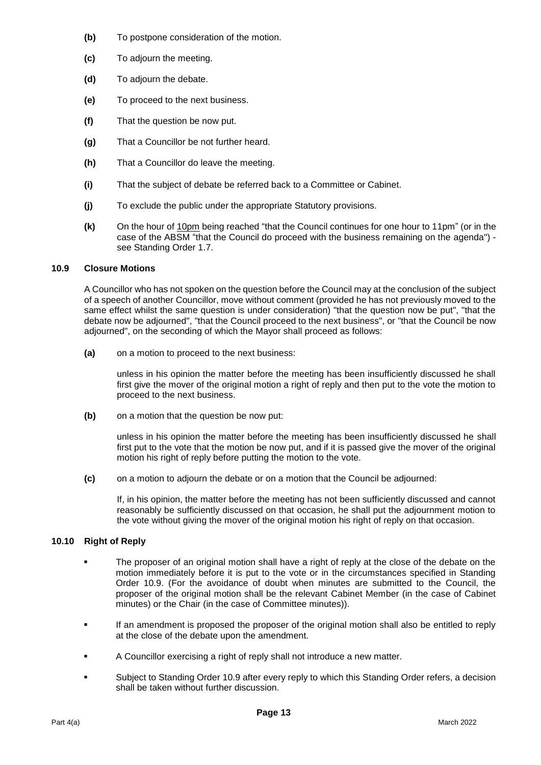- **(b)** To postpone consideration of the motion.
- **(c)** To adjourn the meeting.
- **(d)** To adjourn the debate.
- **(e)** To proceed to the next business.
- **(f)** That the question be now put.
- **(g)** That a Councillor be not further heard.
- **(h)** That a Councillor do leave the meeting.
- **(i)** That the subject of debate be referred back to a Committee or Cabinet.
- **(j)** To exclude the public under the appropriate Statutory provisions.
- **(k)** On the hour of 10pm being reached "that the Council continues for one hour to 11pm" (or in the case of the ABSM "that the Council do proceed with the business remaining on the agenda") see Standing Order 1.7.

#### **10.9 Closure Motions**

A Councillor who has not spoken on the question before the Council may at the conclusion of the subject of a speech of another Councillor, move without comment (provided he has not previously moved to the same effect whilst the same question is under consideration) "that the question now be put", "that the debate now be adjourned", "that the Council proceed to the next business", or "that the Council be now adjourned", on the seconding of which the Mayor shall proceed as follows:

**(a)** on a motion to proceed to the next business:

unless in his opinion the matter before the meeting has been insufficiently discussed he shall first give the mover of the original motion a right of reply and then put to the vote the motion to proceed to the next business.

**(b)** on a motion that the question be now put:

unless in his opinion the matter before the meeting has been insufficiently discussed he shall first put to the vote that the motion be now put, and if it is passed give the mover of the original motion his right of reply before putting the motion to the vote.

**(c)** on a motion to adjourn the debate or on a motion that the Council be adjourned:

If, in his opinion, the matter before the meeting has not been sufficiently discussed and cannot reasonably be sufficiently discussed on that occasion, he shall put the adjournment motion to the vote without giving the mover of the original motion his right of reply on that occasion.

#### **10.10 Right of Reply**

- The proposer of an original motion shall have a right of reply at the close of the debate on the motion immediately before it is put to the vote or in the circumstances specified in Standing Order 10.9. (For the avoidance of doubt when minutes are submitted to the Council, the proposer of the original motion shall be the relevant Cabinet Member (in the case of Cabinet minutes) or the Chair (in the case of Committee minutes)).
- If an amendment is proposed the proposer of the original motion shall also be entitled to reply at the close of the debate upon the amendment.
- A Councillor exercising a right of reply shall not introduce a new matter.
- Subject to Standing Order 10.9 after every reply to which this Standing Order refers, a decision shall be taken without further discussion.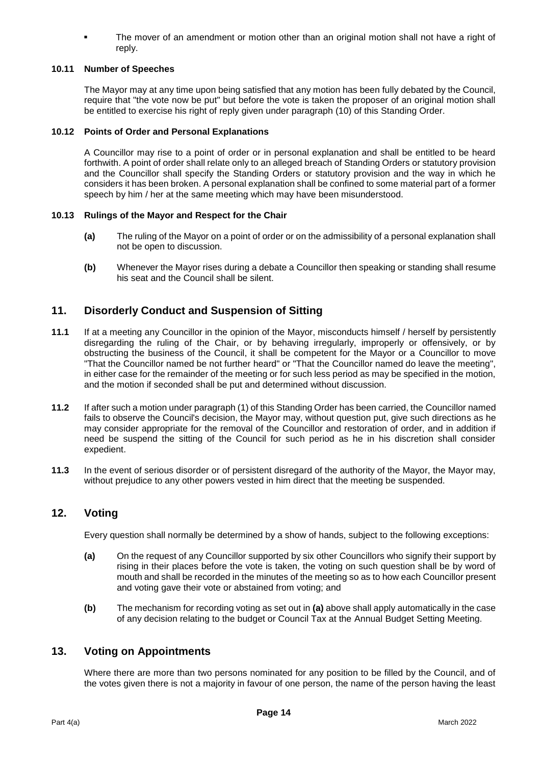The mover of an amendment or motion other than an original motion shall not have a right of reply.

#### **10.11 Number of Speeches**

The Mayor may at any time upon being satisfied that any motion has been fully debated by the Council, require that "the vote now be put" but before the vote is taken the proposer of an original motion shall be entitled to exercise his right of reply given under paragraph (10) of this Standing Order.

#### **10.12 Points of Order and Personal Explanations**

A Councillor may rise to a point of order or in personal explanation and shall be entitled to be heard forthwith. A point of order shall relate only to an alleged breach of Standing Orders or statutory provision and the Councillor shall specify the Standing Orders or statutory provision and the way in which he considers it has been broken. A personal explanation shall be confined to some material part of a former speech by him / her at the same meeting which may have been misunderstood.

#### **10.13 Rulings of the Mayor and Respect for the Chair**

- **(a)** The ruling of the Mayor on a point of order or on the admissibility of a personal explanation shall not be open to discussion.
- **(b)** Whenever the Mayor rises during a debate a Councillor then speaking or standing shall resume his seat and the Council shall be silent.

### **11. Disorderly Conduct and Suspension of Sitting**

- **11.1** If at a meeting any Councillor in the opinion of the Mayor, misconducts himself / herself by persistently disregarding the ruling of the Chair, or by behaving irregularly, improperly or offensively, or by obstructing the business of the Council, it shall be competent for the Mayor or a Councillor to move "That the Councillor named be not further heard" or "That the Councillor named do leave the meeting", in either case for the remainder of the meeting or for such less period as may be specified in the motion, and the motion if seconded shall be put and determined without discussion.
- **11.2** If after such a motion under paragraph (1) of this Standing Order has been carried, the Councillor named fails to observe the Council's decision, the Mayor may, without question put, give such directions as he may consider appropriate for the removal of the Councillor and restoration of order, and in addition if need be suspend the sitting of the Council for such period as he in his discretion shall consider expedient.
- **11.3** In the event of serious disorder or of persistent disregard of the authority of the Mayor, the Mayor may, without prejudice to any other powers vested in him direct that the meeting be suspended.

### **12. Voting**

Every question shall normally be determined by a show of hands, subject to the following exceptions:

- **(a)** On the request of any Councillor supported by six other Councillors who signify their support by rising in their places before the vote is taken, the voting on such question shall be by word of mouth and shall be recorded in the minutes of the meeting so as to how each Councillor present and voting gave their vote or abstained from voting; and
- **(b)** The mechanism for recording voting as set out in **(a)** above shall apply automatically in the case of any decision relating to the budget or Council Tax at the Annual Budget Setting Meeting.

### **13. Voting on Appointments**

Where there are more than two persons nominated for any position to be filled by the Council, and of the votes given there is not a majority in favour of one person, the name of the person having the least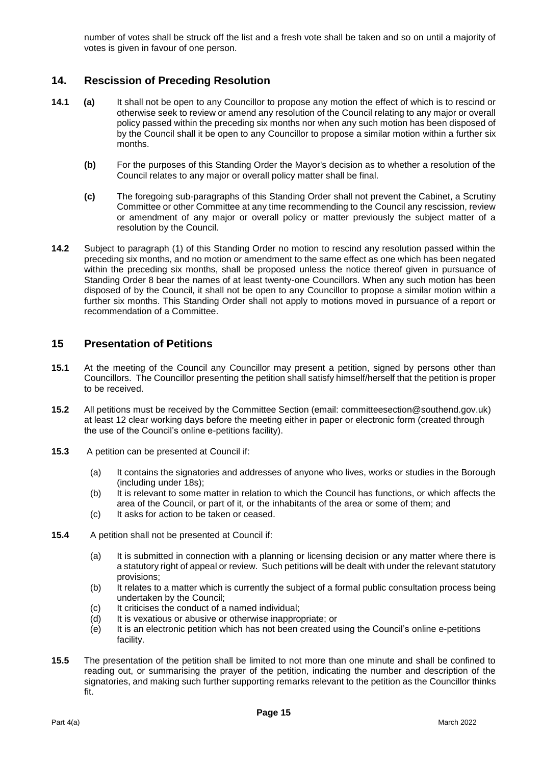number of votes shall be struck off the list and a fresh vote shall be taken and so on until a majority of votes is given in favour of one person.

### **14. Rescission of Preceding Resolution**

- **14.1 (a)** It shall not be open to any Councillor to propose any motion the effect of which is to rescind or otherwise seek to review or amend any resolution of the Council relating to any major or overall policy passed within the preceding six months nor when any such motion has been disposed of by the Council shall it be open to any Councillor to propose a similar motion within a further six months.
	- **(b)** For the purposes of this Standing Order the Mayor's decision as to whether a resolution of the Council relates to any major or overall policy matter shall be final.
	- **(c)** The foregoing sub-paragraphs of this Standing Order shall not prevent the Cabinet, a Scrutiny Committee or other Committee at any time recommending to the Council any rescission, review or amendment of any major or overall policy or matter previously the subject matter of a resolution by the Council.
- **14.2** Subject to paragraph (1) of this Standing Order no motion to rescind any resolution passed within the preceding six months, and no motion or amendment to the same effect as one which has been negated within the preceding six months, shall be proposed unless the notice thereof given in pursuance of Standing Order 8 bear the names of at least twenty-one Councillors. When any such motion has been disposed of by the Council, it shall not be open to any Councillor to propose a similar motion within a further six months. This Standing Order shall not apply to motions moved in pursuance of a report or recommendation of a Committee.

### **15 Presentation of Petitions**

- **15.1** At the meeting of the Council any Councillor may present a petition, signed by persons other than Councillors. The Councillor presenting the petition shall satisfy himself/herself that the petition is proper to be received.
- **15.2** All petitions must be received by the Committee Section (email: committeesection@southend.gov.uk) at least 12 clear working days before the meeting either in paper or electronic form (created through the use of the Council's online e-petitions facility).
- **15.3** A petition can be presented at Council if:
	- (a) It contains the signatories and addresses of anyone who lives, works or studies in the Borough (including under 18s);
	- (b) It is relevant to some matter in relation to which the Council has functions, or which affects the area of the Council, or part of it, or the inhabitants of the area or some of them; and
	- (c) It asks for action to be taken or ceased.
- **15.4** A petition shall not be presented at Council if:
	- (a) It is submitted in connection with a planning or licensing decision or any matter where there is a statutory right of appeal or review. Such petitions will be dealt with under the relevant statutory provisions;
	- (b) It relates to a matter which is currently the subject of a formal public consultation process being undertaken by the Council;
	- (c) It criticises the conduct of a named individual;
	- (d) It is vexatious or abusive or otherwise inappropriate; or
	- (e) It is an electronic petition which has not been created using the Council's online e-petitions facility.
- **15.5** The presentation of the petition shall be limited to not more than one minute and shall be confined to reading out, or summarising the prayer of the petition, indicating the number and description of the signatories, and making such further supporting remarks relevant to the petition as the Councillor thinks fit.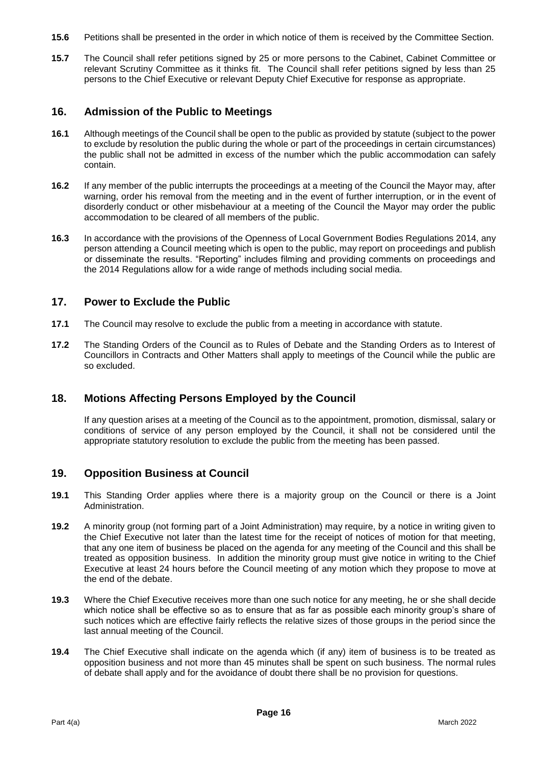- **15.6** Petitions shall be presented in the order in which notice of them is received by the Committee Section.
- **15.7** The Council shall refer petitions signed by 25 or more persons to the Cabinet, Cabinet Committee or relevant Scrutiny Committee as it thinks fit. The Council shall refer petitions signed by less than 25 persons to the Chief Executive or relevant Deputy Chief Executive for response as appropriate.

### **16. Admission of the Public to Meetings**

- **16.1** Although meetings of the Council shall be open to the public as provided by statute (subject to the power to exclude by resolution the public during the whole or part of the proceedings in certain circumstances) the public shall not be admitted in excess of the number which the public accommodation can safely contain.
- **16.2** If any member of the public interrupts the proceedings at a meeting of the Council the Mayor may, after warning, order his removal from the meeting and in the event of further interruption, or in the event of disorderly conduct or other misbehaviour at a meeting of the Council the Mayor may order the public accommodation to be cleared of all members of the public.
- **16.3** In accordance with the provisions of the Openness of Local Government Bodies Regulations 2014, any person attending a Council meeting which is open to the public, may report on proceedings and publish or disseminate the results. "Reporting" includes filming and providing comments on proceedings and the 2014 Regulations allow for a wide range of methods including social media.

### **17. Power to Exclude the Public**

- **17.1** The Council may resolve to exclude the public from a meeting in accordance with statute.
- **17.2** The Standing Orders of the Council as to Rules of Debate and the Standing Orders as to Interest of Councillors in Contracts and Other Matters shall apply to meetings of the Council while the public are so excluded.

### **18. Motions Affecting Persons Employed by the Council**

If any question arises at a meeting of the Council as to the appointment, promotion, dismissal, salary or conditions of service of any person employed by the Council, it shall not be considered until the appropriate statutory resolution to exclude the public from the meeting has been passed.

### **19. Opposition Business at Council**

- **19.1** This Standing Order applies where there is a majority group on the Council or there is a Joint Administration.
- **19.2** A minority group (not forming part of a Joint Administration) may require, by a notice in writing given to the Chief Executive not later than the latest time for the receipt of notices of motion for that meeting, that any one item of business be placed on the agenda for any meeting of the Council and this shall be treated as opposition business. In addition the minority group must give notice in writing to the Chief Executive at least 24 hours before the Council meeting of any motion which they propose to move at the end of the debate.
- **19.3** Where the Chief Executive receives more than one such notice for any meeting, he or she shall decide which notice shall be effective so as to ensure that as far as possible each minority group's share of such notices which are effective fairly reflects the relative sizes of those groups in the period since the last annual meeting of the Council.
- **19.4** The Chief Executive shall indicate on the agenda which (if any) item of business is to be treated as opposition business and not more than 45 minutes shall be spent on such business. The normal rules of debate shall apply and for the avoidance of doubt there shall be no provision for questions.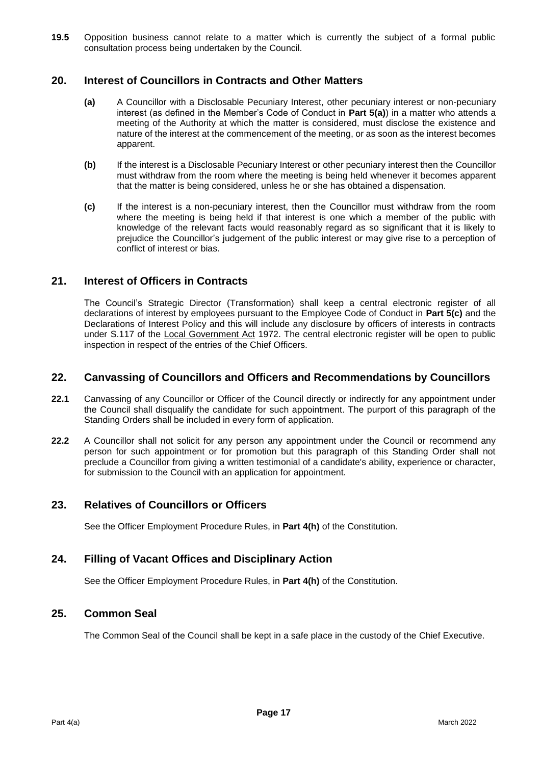**19.5** Opposition business cannot relate to a matter which is currently the subject of a formal public consultation process being undertaken by the Council.

### **20. Interest of Councillors in Contracts and Other Matters**

- **(a)** A Councillor with a Disclosable Pecuniary Interest, other pecuniary interest or non-pecuniary interest (as defined in the Member's Code of Conduct in **Part 5(a)**) in a matter who attends a meeting of the Authority at which the matter is considered, must disclose the existence and nature of the interest at the commencement of the meeting, or as soon as the interest becomes apparent.
- **(b)** If the interest is a Disclosable Pecuniary Interest or other pecuniary interest then the Councillor must withdraw from the room where the meeting is being held whenever it becomes apparent that the matter is being considered, unless he or she has obtained a dispensation.
- **(c)** If the interest is a non-pecuniary interest, then the Councillor must withdraw from the room where the meeting is being held if that interest is one which a member of the public with knowledge of the relevant facts would reasonably regard as so significant that it is likely to prejudice the Councillor's judgement of the public interest or may give rise to a perception of conflict of interest or bias.

### **21. Interest of Officers in Contracts**

The Council's Strategic Director (Transformation) shall keep a central electronic register of all declarations of interest by employees pursuant to the Employee Code of Conduct in **Part 5(c)** and the Declarations of Interest Policy and this will include any disclosure by officers of interests in contracts under S.117 of the Local Government Act 1972. The central electronic register will be open to public inspection in respect of the entries of the Chief Officers.

### **22. Canvassing of Councillors and Officers and Recommendations by Councillors**

- **22.1** Canvassing of any Councillor or Officer of the Council directly or indirectly for any appointment under the Council shall disqualify the candidate for such appointment. The purport of this paragraph of the Standing Orders shall be included in every form of application.
- **22.2** A Councillor shall not solicit for any person any appointment under the Council or recommend any person for such appointment or for promotion but this paragraph of this Standing Order shall not preclude a Councillor from giving a written testimonial of a candidate's ability, experience or character, for submission to the Council with an application for appointment.

### **23. Relatives of Councillors or Officers**

See the Officer Employment Procedure Rules, in **Part 4(h)** of the Constitution.

### **24. Filling of Vacant Offices and Disciplinary Action**

See the Officer Employment Procedure Rules, in **Part 4(h)** of the Constitution.

### **25. Common Seal**

The Common Seal of the Council shall be kept in a safe place in the custody of the Chief Executive.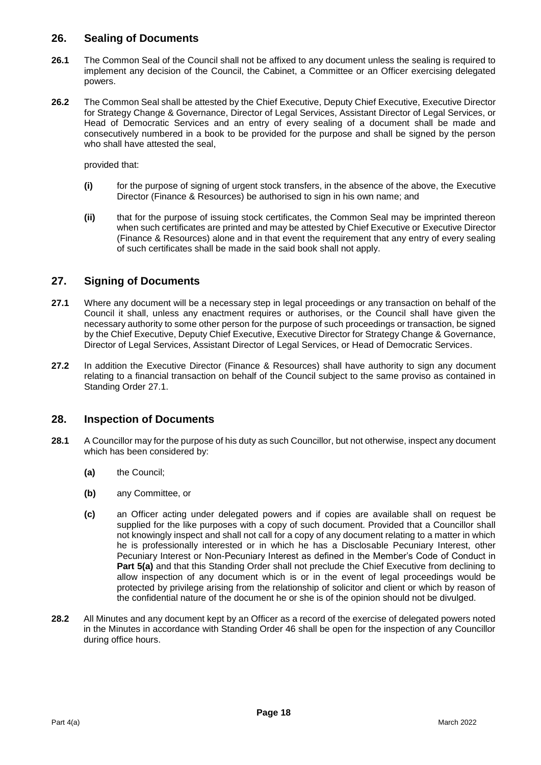### **26. Sealing of Documents**

- **26.1** The Common Seal of the Council shall not be affixed to any document unless the sealing is required to implement any decision of the Council, the Cabinet, a Committee or an Officer exercising delegated powers.
- **26.2** The Common Seal shall be attested by the Chief Executive, Deputy Chief Executive, Executive Director for Strategy Change & Governance, Director of Legal Services, Assistant Director of Legal Services, or Head of Democratic Services and an entry of every sealing of a document shall be made and consecutively numbered in a book to be provided for the purpose and shall be signed by the person who shall have attested the seal,

provided that:

- **(i)** for the purpose of signing of urgent stock transfers, in the absence of the above, the Executive Director (Finance & Resources) be authorised to sign in his own name; and
- **(ii)** that for the purpose of issuing stock certificates, the Common Seal may be imprinted thereon when such certificates are printed and may be attested by Chief Executive or Executive Director (Finance & Resources) alone and in that event the requirement that any entry of every sealing of such certificates shall be made in the said book shall not apply.

### **27. Signing of Documents**

- **27.1** Where any document will be a necessary step in legal proceedings or any transaction on behalf of the Council it shall, unless any enactment requires or authorises, or the Council shall have given the necessary authority to some other person for the purpose of such proceedings or transaction, be signed by the Chief Executive, Deputy Chief Executive, Executive Director for Strategy Change & Governance, Director of Legal Services, Assistant Director of Legal Services, or Head of Democratic Services.
- **27.2** In addition the Executive Director (Finance & Resources) shall have authority to sign any document relating to a financial transaction on behalf of the Council subject to the same proviso as contained in Standing Order 27.1.

### **28. Inspection of Documents**

- **28.1** A Councillor may for the purpose of his duty as such Councillor, but not otherwise, inspect any document which has been considered by:
	- **(a)** the Council;
	- **(b)** any Committee, or
	- **(c)** an Officer acting under delegated powers and if copies are available shall on request be supplied for the like purposes with a copy of such document. Provided that a Councillor shall not knowingly inspect and shall not call for a copy of any document relating to a matter in which he is professionally interested or in which he has a Disclosable Pecuniary Interest, other Pecuniary Interest or Non-Pecuniary Interest as defined in the Member's Code of Conduct in **Part 5(a)** and that this Standing Order shall not preclude the Chief Executive from declining to allow inspection of any document which is or in the event of legal proceedings would be protected by privilege arising from the relationship of solicitor and client or which by reason of the confidential nature of the document he or she is of the opinion should not be divulged.
- **28.2** All Minutes and any document kept by an Officer as a record of the exercise of delegated powers noted in the Minutes in accordance with Standing Order 46 shall be open for the inspection of any Councillor during office hours.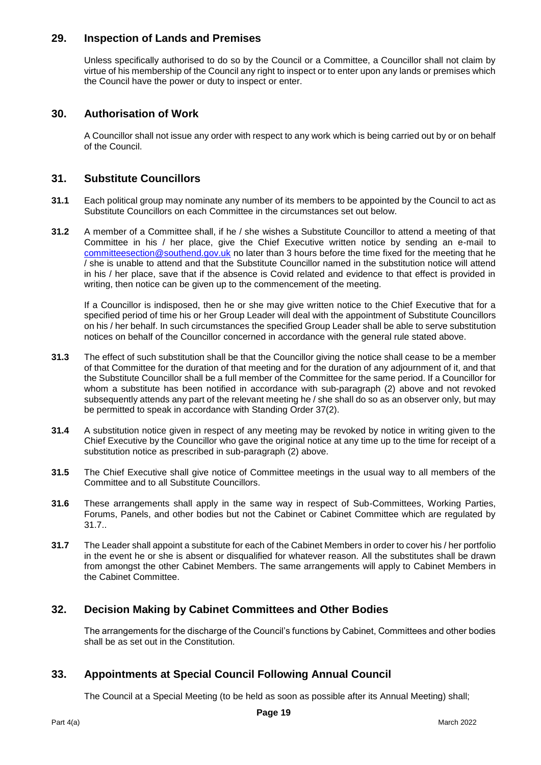### **29. Inspection of Lands and Premises**

Unless specifically authorised to do so by the Council or a Committee, a Councillor shall not claim by virtue of his membership of the Council any right to inspect or to enter upon any lands or premises which the Council have the power or duty to inspect or enter.

### **30. Authorisation of Work**

A Councillor shall not issue any order with respect to any work which is being carried out by or on behalf of the Council.

### **31. Substitute Councillors**

- **31.1** Each political group may nominate any number of its members to be appointed by the Council to act as Substitute Councillors on each Committee in the circumstances set out below.
- **31.2** A member of a Committee shall, if he / she wishes a Substitute Councillor to attend a meeting of that Committee in his / her place, give the Chief Executive written notice by sending an e-mail to [committeesection@southend.gov.uk](mailto:committeesection@southend.gov.uk) no later than 3 hours before the time fixed for the meeting that he / she is unable to attend and that the Substitute Councillor named in the substitution notice will attend in his / her place, save that if the absence is Covid related and evidence to that effect is provided in writing, then notice can be given up to the commencement of the meeting.

If a Councillor is indisposed, then he or she may give written notice to the Chief Executive that for a specified period of time his or her Group Leader will deal with the appointment of Substitute Councillors on his / her behalf. In such circumstances the specified Group Leader shall be able to serve substitution notices on behalf of the Councillor concerned in accordance with the general rule stated above.

- **31.3** The effect of such substitution shall be that the Councillor giving the notice shall cease to be a member of that Committee for the duration of that meeting and for the duration of any adjournment of it, and that the Substitute Councillor shall be a full member of the Committee for the same period. If a Councillor for whom a substitute has been notified in accordance with sub-paragraph (2) above and not revoked subsequently attends any part of the relevant meeting he / she shall do so as an observer only, but may be permitted to speak in accordance with Standing Order 37(2).
- **31.4** A substitution notice given in respect of any meeting may be revoked by notice in writing given to the Chief Executive by the Councillor who gave the original notice at any time up to the time for receipt of a substitution notice as prescribed in sub-paragraph (2) above.
- **31.5** The Chief Executive shall give notice of Committee meetings in the usual way to all members of the Committee and to all Substitute Councillors.
- **31.6** These arrangements shall apply in the same way in respect of Sub-Committees, Working Parties, Forums, Panels, and other bodies but not the Cabinet or Cabinet Committee which are regulated by 31.7..
- **31.7** The Leader shall appoint a substitute for each of the Cabinet Members in order to cover his / her portfolio in the event he or she is absent or disqualified for whatever reason. All the substitutes shall be drawn from amongst the other Cabinet Members. The same arrangements will apply to Cabinet Members in the Cabinet Committee.

### **32. Decision Making by Cabinet Committees and Other Bodies**

The arrangements for the discharge of the Council's functions by Cabinet, Committees and other bodies shall be as set out in the Constitution.

### **33. Appointments at Special Council Following Annual Council**

The Council at a Special Meeting (to be held as soon as possible after its Annual Meeting) shall;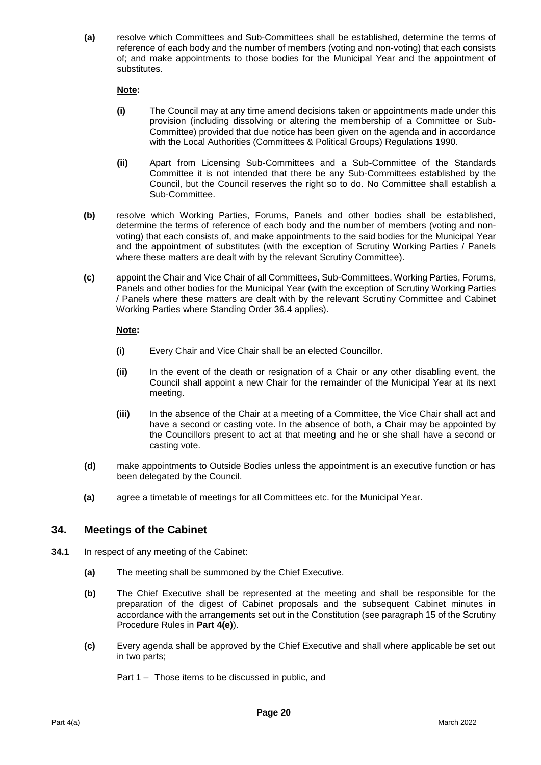**(a)** resolve which Committees and Sub-Committees shall be established, determine the terms of reference of each body and the number of members (voting and non-voting) that each consists of; and make appointments to those bodies for the Municipal Year and the appointment of substitutes.

#### **Note:**

- **(i)** The Council may at any time amend decisions taken or appointments made under this provision (including dissolving or altering the membership of a Committee or Sub-Committee) provided that due notice has been given on the agenda and in accordance with the Local Authorities (Committees & Political Groups) Regulations 1990.
- **(ii)** Apart from Licensing Sub-Committees and a Sub-Committee of the Standards Committee it is not intended that there be any Sub-Committees established by the Council, but the Council reserves the right so to do. No Committee shall establish a Sub-Committee.
- **(b)** resolve which Working Parties, Forums, Panels and other bodies shall be established, determine the terms of reference of each body and the number of members (voting and nonvoting) that each consists of, and make appointments to the said bodies for the Municipal Year and the appointment of substitutes (with the exception of Scrutiny Working Parties / Panels where these matters are dealt with by the relevant Scrutiny Committee).
- **(c)** appoint the Chair and Vice Chair of all Committees, Sub-Committees, Working Parties, Forums, Panels and other bodies for the Municipal Year (with the exception of Scrutiny Working Parties / Panels where these matters are dealt with by the relevant Scrutiny Committee and Cabinet Working Parties where Standing Order 36.4 applies).

#### **Note:**

- **(i)** Every Chair and Vice Chair shall be an elected Councillor.
- **(ii)** In the event of the death or resignation of a Chair or any other disabling event, the Council shall appoint a new Chair for the remainder of the Municipal Year at its next meeting.
- **(iii)** In the absence of the Chair at a meeting of a Committee, the Vice Chair shall act and have a second or casting vote. In the absence of both, a Chair may be appointed by the Councillors present to act at that meeting and he or she shall have a second or casting vote.
- **(d)** make appointments to Outside Bodies unless the appointment is an executive function or has been delegated by the Council.
- **(a)** agree a timetable of meetings for all Committees etc. for the Municipal Year.

### **34. Meetings of the Cabinet**

- **34.1** In respect of any meeting of the Cabinet:
	- **(a)** The meeting shall be summoned by the Chief Executive.
	- **(b)** The Chief Executive shall be represented at the meeting and shall be responsible for the preparation of the digest of Cabinet proposals and the subsequent Cabinet minutes in accordance with the arrangements set out in the Constitution (see paragraph 15 of the Scrutiny Procedure Rules in **Part 4(e)**).
	- **(c)** Every agenda shall be approved by the Chief Executive and shall where applicable be set out in two parts;

Part 1 – Those items to be discussed in public, and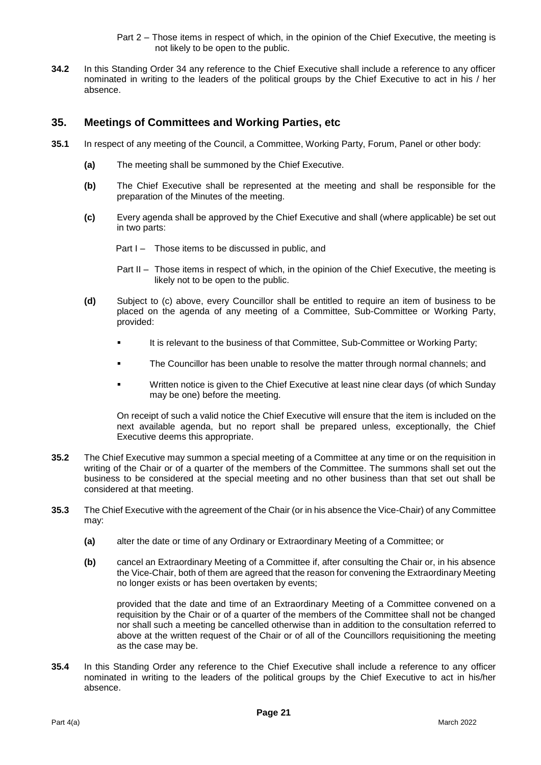Part 2 – Those items in respect of which, in the opinion of the Chief Executive, the meeting is not likely to be open to the public.

**34.2** In this Standing Order 34 any reference to the Chief Executive shall include a reference to any officer nominated in writing to the leaders of the political groups by the Chief Executive to act in his / her absence.

### **35. Meetings of Committees and Working Parties, etc**

- **35.1** In respect of any meeting of the Council, a Committee, Working Party, Forum, Panel or other body:
	- **(a)** The meeting shall be summoned by the Chief Executive.
	- **(b)** The Chief Executive shall be represented at the meeting and shall be responsible for the preparation of the Minutes of the meeting.
	- **(c)** Every agenda shall be approved by the Chief Executive and shall (where applicable) be set out in two parts:

Part I – Those items to be discussed in public, and

- Part II Those items in respect of which, in the opinion of the Chief Executive, the meeting is likely not to be open to the public.
- **(d)** Subject to (c) above, every Councillor shall be entitled to require an item of business to be placed on the agenda of any meeting of a Committee, Sub-Committee or Working Party, provided:
	- It is relevant to the business of that Committee, Sub-Committee or Working Party;
	- **The Councillor has been unable to resolve the matter through normal channels; and**
	- Written notice is given to the Chief Executive at least nine clear days (of which Sunday may be one) before the meeting.

On receipt of such a valid notice the Chief Executive will ensure that the item is included on the next available agenda, but no report shall be prepared unless, exceptionally, the Chief Executive deems this appropriate.

- **35.2** The Chief Executive may summon a special meeting of a Committee at any time or on the requisition in writing of the Chair or of a quarter of the members of the Committee. The summons shall set out the business to be considered at the special meeting and no other business than that set out shall be considered at that meeting.
- **35.3** The Chief Executive with the agreement of the Chair (or in his absence the Vice-Chair) of any Committee may:
	- **(a)** alter the date or time of any Ordinary or Extraordinary Meeting of a Committee; or
	- **(b)** cancel an Extraordinary Meeting of a Committee if, after consulting the Chair or, in his absence the Vice-Chair, both of them are agreed that the reason for convening the Extraordinary Meeting no longer exists or has been overtaken by events;

provided that the date and time of an Extraordinary Meeting of a Committee convened on a requisition by the Chair or of a quarter of the members of the Committee shall not be changed nor shall such a meeting be cancelled otherwise than in addition to the consultation referred to above at the written request of the Chair or of all of the Councillors requisitioning the meeting as the case may be.

**35.4** In this Standing Order any reference to the Chief Executive shall include a reference to any officer nominated in writing to the leaders of the political groups by the Chief Executive to act in his/her absence.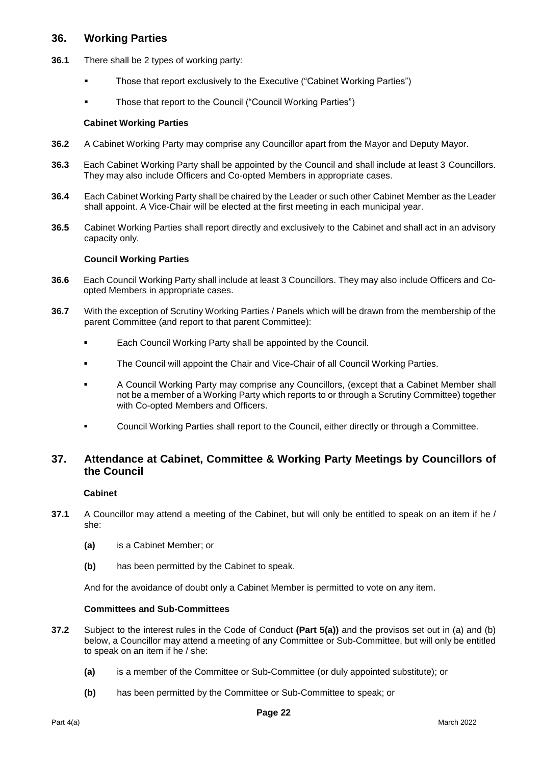### **36. Working Parties**

- **36.1** There shall be 2 types of working party:
	- Those that report exclusively to the Executive ("Cabinet Working Parties")
	- Those that report to the Council ("Council Working Parties")

#### **Cabinet Working Parties**

- **36.2** A Cabinet Working Party may comprise any Councillor apart from the Mayor and Deputy Mayor.
- **36.3** Each Cabinet Working Party shall be appointed by the Council and shall include at least 3 Councillors. They may also include Officers and Co-opted Members in appropriate cases.
- **36.4** Each Cabinet Working Party shall be chaired by the Leader or such other Cabinet Member as the Leader shall appoint. A Vice-Chair will be elected at the first meeting in each municipal year.
- **36.5** Cabinet Working Parties shall report directly and exclusively to the Cabinet and shall act in an advisory capacity only.

#### **Council Working Parties**

- **36.6** Each Council Working Party shall include at least 3 Councillors. They may also include Officers and Coopted Members in appropriate cases.
- **36.7** With the exception of Scrutiny Working Parties / Panels which will be drawn from the membership of the parent Committee (and report to that parent Committee):
	- Each Council Working Party shall be appointed by the Council.
	- The Council will appoint the Chair and Vice-Chair of all Council Working Parties.
	- A Council Working Party may comprise any Councillors, (except that a Cabinet Member shall not be a member of a Working Party which reports to or through a Scrutiny Committee) together with Co-opted Members and Officers.
	- Council Working Parties shall report to the Council, either directly or through a Committee.

### **37. Attendance at Cabinet, Committee & Working Party Meetings by Councillors of the Council**

#### **Cabinet**

- **37.1** A Councillor may attend a meeting of the Cabinet, but will only be entitled to speak on an item if he / she:
	- **(a)** is a Cabinet Member; or
	- **(b)** has been permitted by the Cabinet to speak.

And for the avoidance of doubt only a Cabinet Member is permitted to vote on any item.

#### **Committees and Sub-Committees**

- **37.2** Subject to the interest rules in the Code of Conduct **(Part 5(a))** and the provisos set out in (a) and (b) below, a Councillor may attend a meeting of any Committee or Sub-Committee, but will only be entitled to speak on an item if he / she:
	- **(a)** is a member of the Committee or Sub-Committee (or duly appointed substitute); or
	- **(b)** has been permitted by the Committee or Sub-Committee to speak; or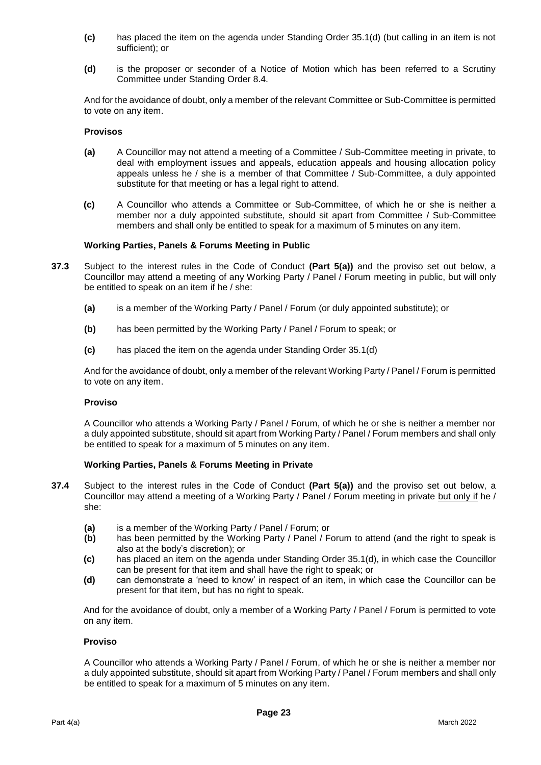- **(c)** has placed the item on the agenda under Standing Order 35.1(d) (but calling in an item is not sufficient); or
- **(d)** is the proposer or seconder of a Notice of Motion which has been referred to a Scrutiny Committee under Standing Order 8.4.

And for the avoidance of doubt, only a member of the relevant Committee or Sub-Committee is permitted to vote on any item.

#### **Provisos**

- **(a)** A Councillor may not attend a meeting of a Committee / Sub-Committee meeting in private, to deal with employment issues and appeals, education appeals and housing allocation policy appeals unless he / she is a member of that Committee / Sub-Committee, a duly appointed substitute for that meeting or has a legal right to attend.
- **(c)** A Councillor who attends a Committee or Sub-Committee, of which he or she is neither a member nor a duly appointed substitute, should sit apart from Committee / Sub-Committee members and shall only be entitled to speak for a maximum of 5 minutes on any item.

#### **Working Parties, Panels & Forums Meeting in Public**

- **37.3** Subject to the interest rules in the Code of Conduct **(Part 5(a))** and the proviso set out below, a Councillor may attend a meeting of any Working Party / Panel / Forum meeting in public, but will only be entitled to speak on an item if he / she:
	- **(a)** is a member of the Working Party / Panel / Forum (or duly appointed substitute); or
	- **(b)** has been permitted by the Working Party / Panel / Forum to speak; or
	- **(c)** has placed the item on the agenda under Standing Order 35.1(d)

And for the avoidance of doubt, only a member of the relevant Working Party / Panel / Forum is permitted to vote on any item.

#### **Proviso**

A Councillor who attends a Working Party / Panel / Forum, of which he or she is neither a member nor a duly appointed substitute, should sit apart from Working Party / Panel / Forum members and shall only be entitled to speak for a maximum of 5 minutes on any item.

#### **Working Parties, Panels & Forums Meeting in Private**

- **37.4** Subject to the interest rules in the Code of Conduct **(Part 5(a))** and the proviso set out below, a Councillor may attend a meeting of a Working Party / Panel / Forum meeting in private but only if he / she:
	- **(a)** is a member of the Working Party / Panel / Forum; or
	- **(b)** has been permitted by the Working Party / Panel / Forum to attend (and the right to speak is also at the body's discretion); or
	- **(c)** has placed an item on the agenda under Standing Order 35.1(d), in which case the Councillor can be present for that item and shall have the right to speak; or
	- **(d)** can demonstrate a 'need to know' in respect of an item, in which case the Councillor can be present for that item, but has no right to speak.

And for the avoidance of doubt, only a member of a Working Party / Panel / Forum is permitted to vote on any item.

#### **Proviso**

A Councillor who attends a Working Party / Panel / Forum, of which he or she is neither a member nor a duly appointed substitute, should sit apart from Working Party / Panel / Forum members and shall only be entitled to speak for a maximum of 5 minutes on any item.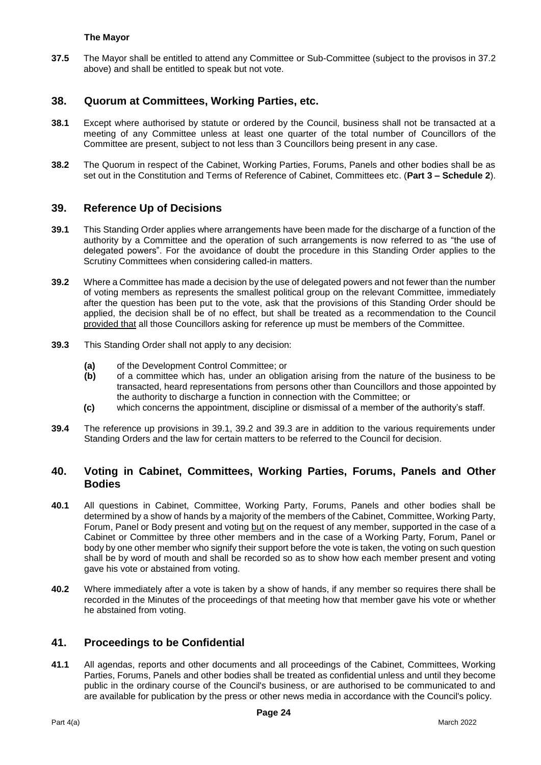#### **The Mayor**

**37.5** The Mayor shall be entitled to attend any Committee or Sub-Committee (subject to the provisos in 37.2 above) and shall be entitled to speak but not vote.

### **38. Quorum at Committees, Working Parties, etc.**

- **38.1** Except where authorised by statute or ordered by the Council, business shall not be transacted at a meeting of any Committee unless at least one quarter of the total number of Councillors of the Committee are present, subject to not less than 3 Councillors being present in any case.
- **38.2** The Quorum in respect of the Cabinet, Working Parties, Forums, Panels and other bodies shall be as set out in the Constitution and Terms of Reference of Cabinet, Committees etc. (**Part 3 – Schedule 2**).

#### **39. Reference Up of Decisions**

- **39.1** This Standing Order applies where arrangements have been made for the discharge of a function of the authority by a Committee and the operation of such arrangements is now referred to as "the use of delegated powers". For the avoidance of doubt the procedure in this Standing Order applies to the Scrutiny Committees when considering called-in matters.
- **39.2** Where a Committee has made a decision by the use of delegated powers and not fewer than the number of voting members as represents the smallest political group on the relevant Committee, immediately after the question has been put to the vote, ask that the provisions of this Standing Order should be applied, the decision shall be of no effect, but shall be treated as a recommendation to the Council provided that all those Councillors asking for reference up must be members of the Committee.
- **39.3** This Standing Order shall not apply to any decision:
	- **(a)** of the Development Control Committee; or<br>**(b)** of a committee which has, under an oblig
	- **(b)** of a committee which has, under an obligation arising from the nature of the business to be transacted, heard representations from persons other than Councillors and those appointed by the authority to discharge a function in connection with the Committee; or
	- **(c)** which concerns the appointment, discipline or dismissal of a member of the authority's staff.
- **39.4** The reference up provisions in 39.1, 39.2 and 39.3 are in addition to the various requirements under Standing Orders and the law for certain matters to be referred to the Council for decision.

### **40. Voting in Cabinet, Committees, Working Parties, Forums, Panels and Other Bodies**

- **40.1** All questions in Cabinet, Committee, Working Party, Forums, Panels and other bodies shall be determined by a show of hands by a majority of the members of the Cabinet, Committee, Working Party, Forum, Panel or Body present and voting but on the request of any member, supported in the case of a Cabinet or Committee by three other members and in the case of a Working Party, Forum, Panel or body by one other member who signify their support before the vote is taken, the voting on such question shall be by word of mouth and shall be recorded so as to show how each member present and voting gave his vote or abstained from voting.
- **40.2** Where immediately after a vote is taken by a show of hands, if any member so requires there shall be recorded in the Minutes of the proceedings of that meeting how that member gave his vote or whether he abstained from voting.

### **41. Proceedings to be Confidential**

**41.1** All agendas, reports and other documents and all proceedings of the Cabinet, Committees, Working Parties, Forums, Panels and other bodies shall be treated as confidential unless and until they become public in the ordinary course of the Council's business, or are authorised to be communicated to and are available for publication by the press or other news media in accordance with the Council's policy.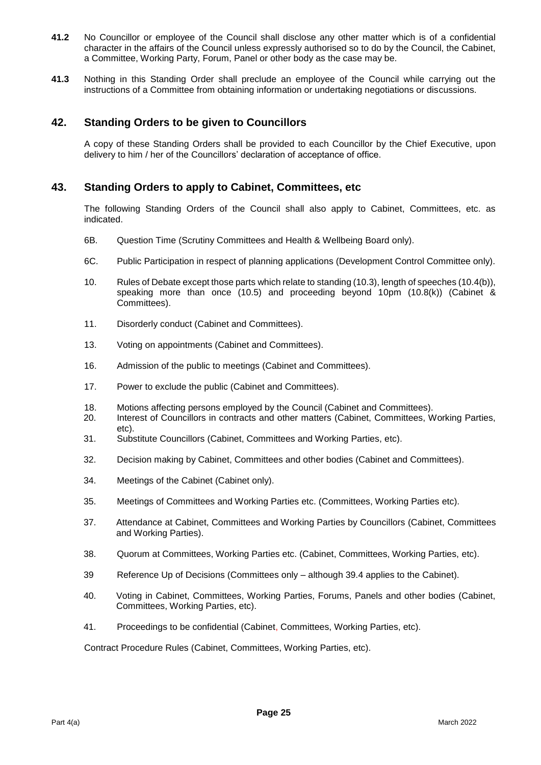- **41.2** No Councillor or employee of the Council shall disclose any other matter which is of a confidential character in the affairs of the Council unless expressly authorised so to do by the Council, the Cabinet, a Committee, Working Party, Forum, Panel or other body as the case may be.
- **41.3** Nothing in this Standing Order shall preclude an employee of the Council while carrying out the instructions of a Committee from obtaining information or undertaking negotiations or discussions.

### **42. Standing Orders to be given to Councillors**

A copy of these Standing Orders shall be provided to each Councillor by the Chief Executive, upon delivery to him / her of the Councillors' declaration of acceptance of office.

#### **43. Standing Orders to apply to Cabinet, Committees, etc**

The following Standing Orders of the Council shall also apply to Cabinet, Committees, etc. as indicated.

- 6B. Question Time (Scrutiny Committees and Health & Wellbeing Board only).
- 6C. Public Participation in respect of planning applications (Development Control Committee only).
- 10. Rules of Debate except those parts which relate to standing (10.3), length of speeches (10.4(b)), speaking more than once (10.5) and proceeding beyond 10pm (10.8(k)) (Cabinet & Committees).
- 11. Disorderly conduct (Cabinet and Committees).
- 13. Voting on appointments (Cabinet and Committees).
- 16. Admission of the public to meetings (Cabinet and Committees).
- 17. Power to exclude the public (Cabinet and Committees).
- 18. Motions affecting persons employed by the Council (Cabinet and Committees).
- 20. Interest of Councillors in contracts and other matters (Cabinet, Committees, Working Parties, etc).
- 31. Substitute Councillors (Cabinet, Committees and Working Parties, etc).
- 32. Decision making by Cabinet, Committees and other bodies (Cabinet and Committees).
- 34. Meetings of the Cabinet (Cabinet only).
- 35. Meetings of Committees and Working Parties etc. (Committees, Working Parties etc).
- 37. Attendance at Cabinet, Committees and Working Parties by Councillors (Cabinet, Committees and Working Parties).
- 38. Quorum at Committees, Working Parties etc. (Cabinet, Committees, Working Parties, etc).
- 39 Reference Up of Decisions (Committees only although 39.4 applies to the Cabinet).
- 40. Voting in Cabinet, Committees, Working Parties, Forums, Panels and other bodies (Cabinet, Committees, Working Parties, etc).
- 41. Proceedings to be confidential (Cabinet, Committees, Working Parties, etc).

Contract Procedure Rules (Cabinet, Committees, Working Parties, etc).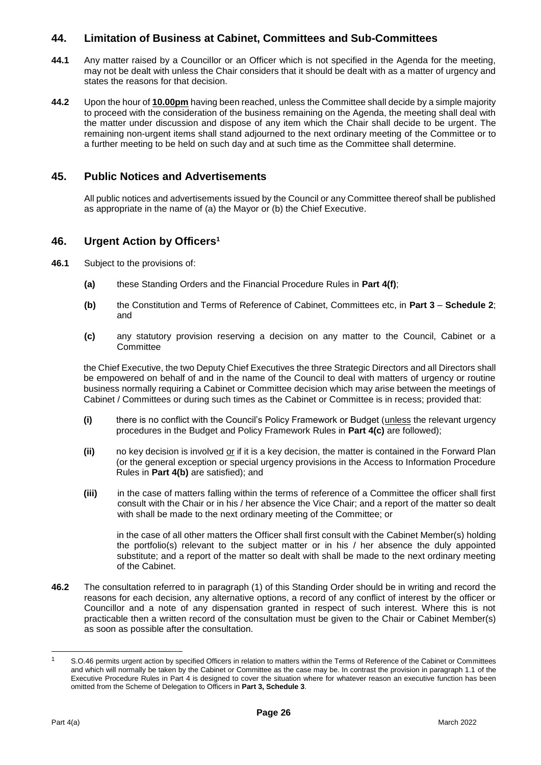### **44. Limitation of Business at Cabinet, Committees and Sub-Committees**

- **44.1** Any matter raised by a Councillor or an Officer which is not specified in the Agenda for the meeting, may not be dealt with unless the Chair considers that it should be dealt with as a matter of urgency and states the reasons for that decision.
- **44.2** Upon the hour of **10.00pm** having been reached, unless the Committee shall decide by a simple majority to proceed with the consideration of the business remaining on the Agenda, the meeting shall deal with the matter under discussion and dispose of any item which the Chair shall decide to be urgent. The remaining non-urgent items shall stand adjourned to the next ordinary meeting of the Committee or to a further meeting to be held on such day and at such time as the Committee shall determine.

### **45. Public Notices and Advertisements**

All public notices and advertisements issued by the Council or any Committee thereof shall be published as appropriate in the name of (a) the Mayor or (b) the Chief Executive.

### **46. Urgent Action by Officers<sup>1</sup>**

- **46.1** Subject to the provisions of:
	- **(a)** these Standing Orders and the Financial Procedure Rules in **Part 4(f)**;
	- **(b)** the Constitution and Terms of Reference of Cabinet, Committees etc, in **Part 3 Schedule 2**; and
	- **(c)** any statutory provision reserving a decision on any matter to the Council, Cabinet or a **Committee**

the Chief Executive, the two Deputy Chief Executives the three Strategic Directors and all Directors shall be empowered on behalf of and in the name of the Council to deal with matters of urgency or routine business normally requiring a Cabinet or Committee decision which may arise between the meetings of Cabinet / Committees or during such times as the Cabinet or Committee is in recess; provided that:

- **(i)** there is no conflict with the Council's Policy Framework or Budget (unless the relevant urgency procedures in the Budget and Policy Framework Rules in **Part 4(c)** are followed);
- **(ii)** no key decision is involved or if it is a key decision, the matter is contained in the Forward Plan (or the general exception or special urgency provisions in the Access to Information Procedure Rules in **Part 4(b)** are satisfied); and
- **(iii)** in the case of matters falling within the terms of reference of a Committee the officer shall first consult with the Chair or in his / her absence the Vice Chair; and a report of the matter so dealt with shall be made to the next ordinary meeting of the Committee; or

in the case of all other matters the Officer shall first consult with the Cabinet Member(s) holding the portfolio(s) relevant to the subject matter or in his / her absence the duly appointed substitute; and a report of the matter so dealt with shall be made to the next ordinary meeting of the Cabinet.

**46.2** The consultation referred to in paragraph (1) of this Standing Order should be in writing and record the reasons for each decision, any alternative options, a record of any conflict of interest by the officer or Councillor and a note of any dispensation granted in respect of such interest. Where this is not practicable then a written record of the consultation must be given to the Chair or Cabinet Member(s) as soon as possible after the consultation.

-

<sup>&</sup>lt;sup>1</sup> S.O.46 permits urgent action by specified Officers in relation to matters within the Terms of Reference of the Cabinet or Committees and which will normally be taken by the Cabinet or Committee as the case may be. In contrast the provision in paragraph 1.1 of the Executive Procedure Rules in Part 4 is designed to cover the situation where for whatever reason an executive function has been omitted from the Scheme of Delegation to Officers in **Part 3, Schedule 3**.